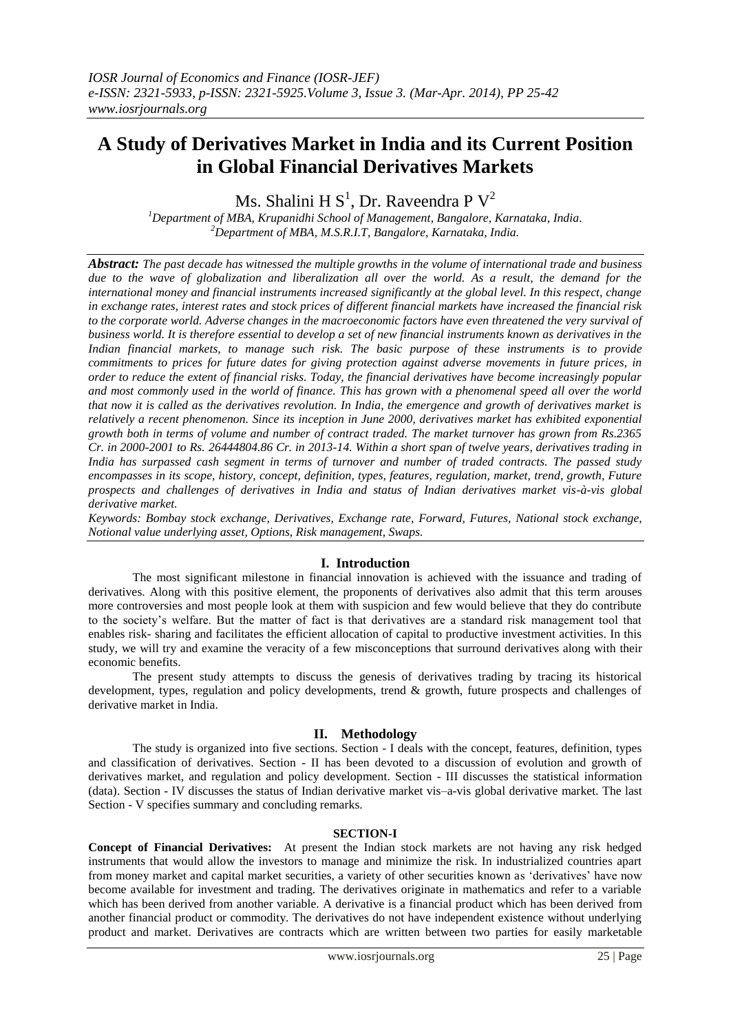# **A Study of Derivatives Market in India and its Current Position in Global Financial Derivatives Markets**

Ms. Shalini H $\text{S}^1$ , Dr. Raveendra P $\text{V}^2$ 

*<sup>1</sup>Department of MBA, Krupanidhi School of Management, Bangalore, Karnataka, India. <sup>2</sup>Department of MBA, M.S.R.I.T, Bangalore, Karnataka, India.*

*Abstract: The past decade has witnessed the multiple growths in the volume of international trade and business due to the wave of globalization and liberalization all over the world. As a result, the demand for the international money and financial instruments increased significantly at the global level. In this respect, change in exchange rates, interest rates and stock prices of different financial markets have increased the financial risk to the corporate world. Adverse changes in the macroeconomic factors have even threatened the very survival of business world. It is therefore essential to develop a set of new financial instruments known as derivatives in the Indian financial markets, to manage such risk. The basic purpose of these instruments is to provide commitments to prices for future dates for giving protection against adverse movements in future prices, in order to reduce the extent of financial risks. Today, the financial derivatives have become increasingly popular and most commonly used in the world of finance. This has grown with a phenomenal speed all over the world that now it is called as the derivatives revolution. In India, the emergence and growth of derivatives market is relatively a recent phenomenon. Since its inception in June 2000, derivatives market has exhibited exponential growth both in terms of volume and number of contract traded. The market turnover has grown from Rs.2365 Cr. in 2000-2001 to Rs. 26444804.86 Cr. in 2013-14. Within a short span of twelve years, derivatives trading in India has surpassed cash segment in terms of turnover and number of traded contracts. The passed study encompasses in its scope, history, concept, definition, types, features, regulation, market, trend, growth, Future prospects and challenges of derivatives in India and status of Indian derivatives market vis-à-vis global derivative market.*

*Keywords: Bombay stock exchange, Derivatives, Exchange rate, Forward, Futures, National stock exchange, Notional value underlying asset, Options, Risk management, Swaps.*

# **I. Introduction**

The most significant milestone in financial innovation is achieved with the issuance and trading of derivatives. Along with this positive element, the proponents of derivatives also admit that this term arouses more controversies and most people look at them with suspicion and few would believe that they do contribute to the society"s welfare. But the matter of fact is that derivatives are a standard risk management tool that enables risk- sharing and facilitates the efficient allocation of capital to productive investment activities. In this study, we will try and examine the veracity of a few misconceptions that surround derivatives along with their economic benefits.

The present study attempts to discuss the genesis of derivatives trading by tracing its historical development, types, regulation and policy developments, trend & growth, future prospects and challenges of derivative market in India.

# **II. Methodology**

The study is organized into five sections. Section - I deals with the concept, features, definition, types and classification of derivatives. Section - II has been devoted to a discussion of evolution and growth of derivatives market, and regulation and policy development. Section - III discusses the statistical information (data). Section - IV discusses the status of Indian derivative market vis–a-vis global derivative market. The last Section - V specifies summary and concluding remarks.

#### **SECTION-I**

**Concept of Financial Derivatives:** At present the Indian stock markets are not having any risk hedged instruments that would allow the investors to manage and minimize the risk. In industrialized countries apart from money market and capital market securities, a variety of other securities known as "derivatives" have now become available for investment and trading. The derivatives originate in mathematics and refer to a variable which has been derived from another variable. A derivative is a financial product which has been derived from another financial product or commodity. The derivatives do not have independent existence without underlying product and market. Derivatives are contracts which are written between two parties for easily marketable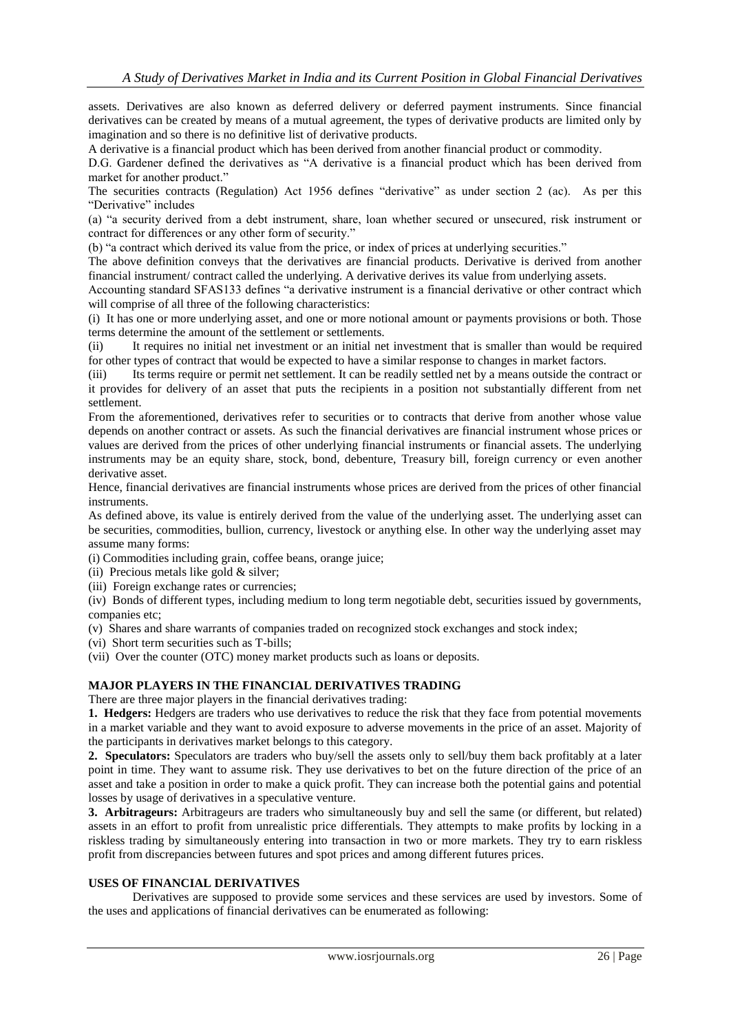assets. Derivatives are also known as deferred delivery or deferred payment instruments. Since financial derivatives can be created by means of a mutual agreement, the types of derivative products are limited only by imagination and so there is no definitive list of derivative products.

A derivative is a financial product which has been derived from another financial product or commodity.

D.G. Gardener defined the derivatives as "A derivative is a financial product which has been derived from market for another product."

The securities contracts (Regulation) Act 1956 defines "derivative" as under section 2 (ac). As per this "Derivative" includes

(a) "a security derived from a debt instrument, share, loan whether secured or unsecured, risk instrument or contract for differences or any other form of security."

(b) "a contract which derived its value from the price, or index of prices at underlying securities."

The above definition conveys that the derivatives are financial products. Derivative is derived from another financial instrument/ contract called the underlying. A derivative derives its value from underlying assets.

Accounting standard SFAS133 defines "a derivative instrument is a financial derivative or other contract which will comprise of all three of the following characteristics:

(i) It has one or more underlying asset, and one or more notional amount or payments provisions or both. Those terms determine the amount of the settlement or settlements.

(ii) It requires no initial net investment or an initial net investment that is smaller than would be required for other types of contract that would be expected to have a similar response to changes in market factors.

(iii) Its terms require or permit net settlement. It can be readily settled net by a means outside the contract or it provides for delivery of an asset that puts the recipients in a position not substantially different from net settlement.

From the aforementioned, derivatives refer to securities or to contracts that derive from another whose value depends on another contract or assets. As such the financial derivatives are financial instrument whose prices or values are derived from the prices of other underlying financial instruments or financial assets. The underlying instruments may be an equity share, stock, bond, debenture, Treasury bill, foreign currency or even another derivative asset.

Hence, financial derivatives are financial instruments whose prices are derived from the prices of other financial instruments.

As defined above, its value is entirely derived from the value of the underlying asset. The underlying asset can be securities, commodities, bullion, currency, livestock or anything else. In other way the underlying asset may assume many forms:

(i) Commodities including grain, coffee beans, orange juice;

- (ii) Precious metals like gold  $&$  silver;
- (iii) Foreign exchange rates or currencies;

(iv) Bonds of different types, including medium to long term negotiable debt, securities issued by governments, companies etc;

(v) Shares and share warrants of companies traded on recognized stock exchanges and stock index;

(vi) Short term securities such as T-bills;

(vii) Over the counter (OTC) money market products such as loans or deposits.

#### **MAJOR PLAYERS IN THE FINANCIAL DERIVATIVES TRADING**

There are three major players in the financial derivatives trading:

**1. Hedgers:** Hedgers are traders who use derivatives to reduce the risk that they face from potential movements in a market variable and they want to avoid exposure to adverse movements in the price of an asset. Majority of the participants in derivatives market belongs to this category.

**2. Speculators:** Speculators are traders who buy/sell the assets only to sell/buy them back profitably at a later point in time. They want to assume risk. They use derivatives to bet on the future direction of the price of an asset and take a position in order to make a quick profit. They can increase both the potential gains and potential losses by usage of derivatives in a speculative venture.

**3. Arbitrageurs:** Arbitrageurs are traders who simultaneously buy and sell the same (or different, but related) assets in an effort to profit from unrealistic price differentials. They attempts to make profits by locking in a riskless trading by simultaneously entering into transaction in two or more markets. They try to earn riskless profit from discrepancies between futures and spot prices and among different futures prices.

#### **USES OF FINANCIAL DERIVATIVES**

Derivatives are supposed to provide some services and these services are used by investors. Some of the uses and applications of financial derivatives can be enumerated as following: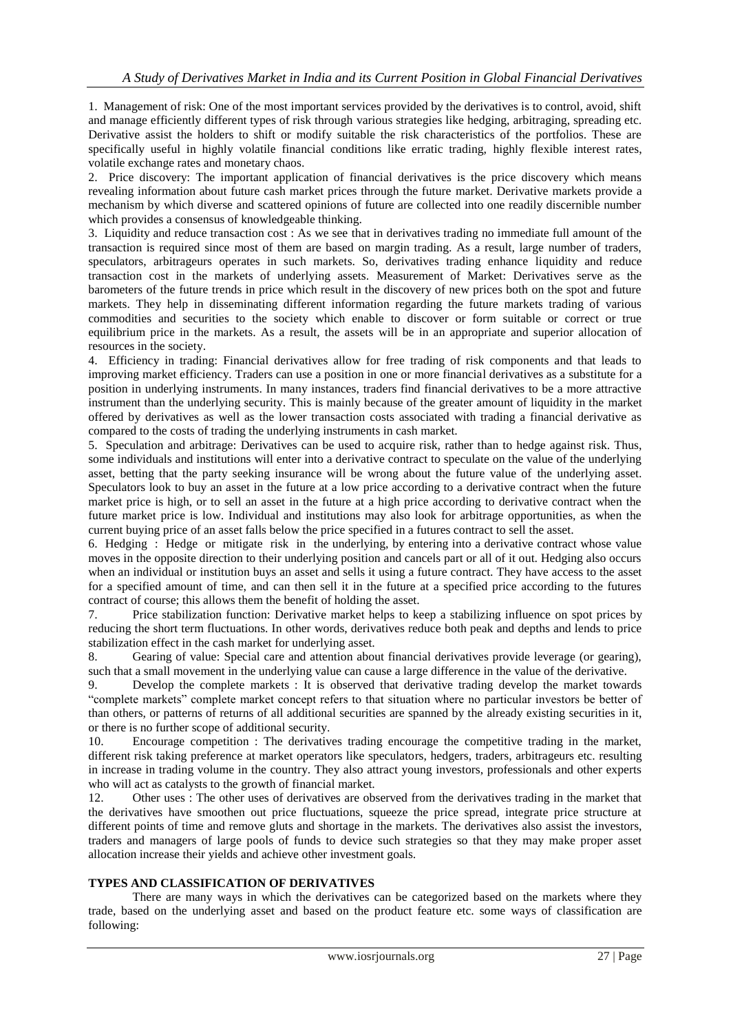1. Management of risk: One of the most important services provided by the derivatives is to control, avoid, shift and manage efficiently different types of risk through various strategies like hedging, arbitraging, spreading etc. Derivative assist the holders to shift or modify suitable the risk characteristics of the portfolios. These are specifically useful in highly volatile financial conditions like erratic trading, highly flexible interest rates, volatile exchange rates and monetary chaos.

2. Price discovery: The important application of financial derivatives is the price discovery which means revealing information about future cash market prices through the future market. Derivative markets provide a mechanism by which diverse and scattered opinions of future are collected into one readily discernible number which provides a consensus of knowledgeable thinking.

3. Liquidity and reduce transaction cost : As we see that in derivatives trading no immediate full amount of the transaction is required since most of them are based on margin trading. As a result, large number of traders, speculators, arbitrageurs operates in such markets. So, derivatives trading enhance liquidity and reduce transaction cost in the markets of underlying assets. Measurement of Market: Derivatives serve as the barometers of the future trends in price which result in the discovery of new prices both on the spot and future markets. They help in disseminating different information regarding the future markets trading of various commodities and securities to the society which enable to discover or form suitable or correct or true equilibrium price in the markets. As a result, the assets will be in an appropriate and superior allocation of resources in the society.

4. Efficiency in trading: Financial derivatives allow for free trading of risk components and that leads to improving market efficiency. Traders can use a position in one or more financial derivatives as a substitute for a position in underlying instruments. In many instances, traders find financial derivatives to be a more attractive instrument than the underlying security. This is mainly because of the greater amount of liquidity in the market offered by derivatives as well as the lower transaction costs associated with trading a financial derivative as compared to the costs of trading the underlying instruments in cash market.

5. Speculation and arbitrage: Derivatives can be used to acquire risk, rather than to hedge against risk. Thus, some individuals and institutions will enter into a derivative contract to speculate on the value of the underlying asset, betting that the party seeking insurance will be wrong about the future value of the underlying asset. Speculators look to buy an asset in the future at a low price according to a derivative contract when the future market price is high, or to sell an asset in the future at a high price according to derivative contract when the future market price is low. Individual and institutions may also look for arbitrage opportunities, as when the current buying price of an asset falls below the price specified in a futures contract to sell the asset.

6. Hedging : Hedge or mitigate risk in the underlying, by entering into a derivative contract whose value moves in the opposite direction to their underlying position and cancels part or all of it out. Hedging also occurs when an individual or institution buys an asset and sells it using a future contract. They have access to the asset for a specified amount of time, and can then sell it in the future at a specified price according to the futures contract of course; this allows them the benefit of holding the asset.

7. Price stabilization function: Derivative market helps to keep a stabilizing influence on spot prices by reducing the short term fluctuations. In other words, derivatives reduce both peak and depths and lends to price stabilization effect in the cash market for underlying asset.

8. Gearing of value: Special care and attention about financial derivatives provide leverage (or gearing), such that a small movement in the underlying value can cause a large difference in the value of the derivative.

9. Develop the complete markets : It is observed that derivative trading develop the market towards "complete markets" complete market concept refers to that situation where no particular investors be better of than others, or patterns of returns of all additional securities are spanned by the already existing securities in it, or there is no further scope of additional security.

10. Encourage competition : The derivatives trading encourage the competitive trading in the market, different risk taking preference at market operators like speculators, hedgers, traders, arbitrageurs etc. resulting in increase in trading volume in the country. They also attract young investors, professionals and other experts who will act as catalysts to the growth of financial market.

12. Other uses : The other uses of derivatives are observed from the derivatives trading in the market that the derivatives have smoothen out price fluctuations, squeeze the price spread, integrate price structure at different points of time and remove gluts and shortage in the markets. The derivatives also assist the investors, traders and managers of large pools of funds to device such strategies so that they may make proper asset allocation increase their yields and achieve other investment goals.

# **TYPES AND CLASSIFICATION OF DERIVATIVES**

There are many ways in which the derivatives can be categorized based on the markets where they trade, based on the underlying asset and based on the product feature etc. some ways of classification are following: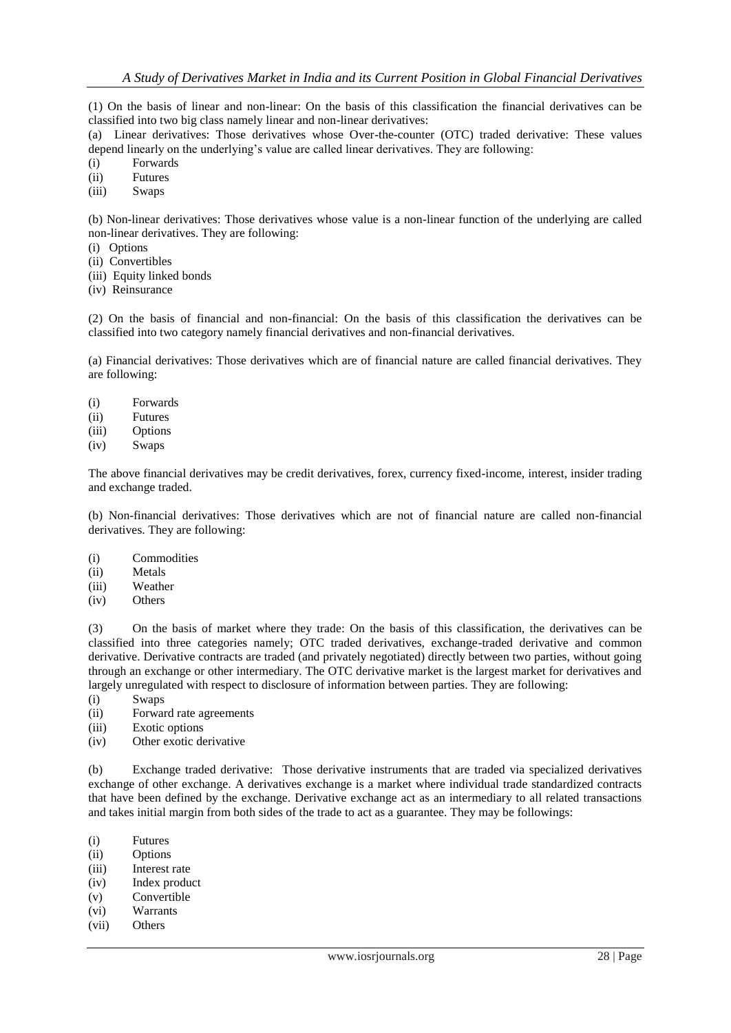(1) On the basis of linear and non-linear: On the basis of this classification the financial derivatives can be classified into two big class namely linear and non-linear derivatives:

(a) Linear derivatives: Those derivatives whose Over-the-counter (OTC) traded derivative: These values depend linearly on the underlying's value are called linear derivatives. They are following:

- (i) Forwards
- (ii) Futures
- (iii) Swaps

(b) Non-linear derivatives: Those derivatives whose value is a non-linear function of the underlying are called non-linear derivatives. They are following:

- (i) Options
- (ii) Convertibles
- (iii) Equity linked bonds
- (iv) Reinsurance

(2) On the basis of financial and non-financial: On the basis of this classification the derivatives can be classified into two category namely financial derivatives and non-financial derivatives.

(a) Financial derivatives: Those derivatives which are of financial nature are called financial derivatives. They are following:

- (i) Forwards
- (ii) Futures
- (iii) Options
- (iv) Swaps

The above financial derivatives may be credit derivatives, forex, currency fixed-income, interest, insider trading and exchange traded.

(b) Non-financial derivatives: Those derivatives which are not of financial nature are called non-financial derivatives. They are following:

- (i) Commodities
- (ii) Metals
- (iii) Weather
- (iv) Others

(3) On the basis of market where they trade: On the basis of this classification, the derivatives can be classified into three categories namely; OTC traded derivatives, exchange-traded derivative and common derivative. Derivative contracts are traded (and privately negotiated) directly between two parties, without going through an exchange or other intermediary. The OTC derivative market is the largest market for derivatives and largely unregulated with respect to disclosure of information between parties. They are following:

- (i) Swaps
- (ii) Forward rate agreements
- (iii) Exotic options
- (iv) Other exotic derivative

(b) Exchange traded derivative: Those derivative instruments that are traded via specialized derivatives exchange of other exchange. A derivatives exchange is a market where individual trade standardized contracts that have been defined by the exchange. Derivative exchange act as an intermediary to all related transactions and takes initial margin from both sides of the trade to act as a guarantee. They may be followings:

- (i) Futures
- (ii) Options
- (iii) Interest rate
- (iv) Index product
- (v) Convertible
- (vi) Warrants
- (vii) Others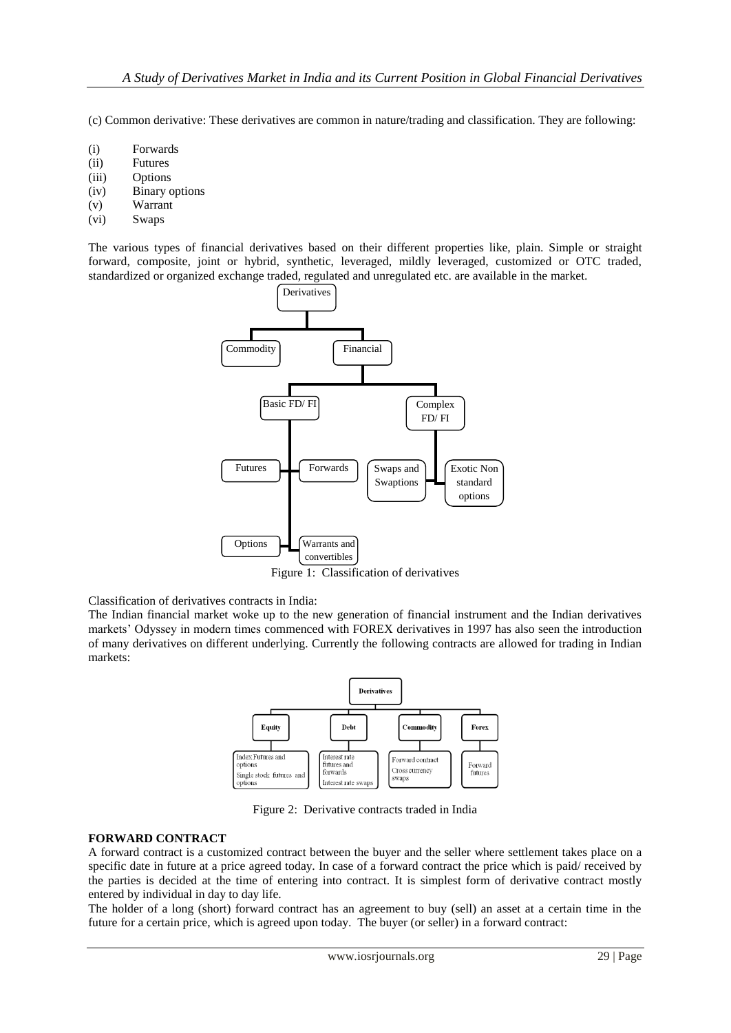(c) Common derivative: These derivatives are common in nature/trading and classification. They are following:

- (i) Forwards
- (ii) Futures
- (iii) Options
- (iv) Binary options
- (v) Warrant
- (vi) Swaps

The various types of financial derivatives based on their different properties like, plain. Simple or straight forward, composite, joint or hybrid, synthetic, leveraged, mildly leveraged, customized or OTC traded, standardized or organized exchange traded, regulated and unregulated etc. are available in the market.



Figure 1: Classification of derivatives

Classification of derivatives contracts in India:

The Indian financial market woke up to the new generation of financial instrument and the Indian derivatives markets" Odyssey in modern times commenced with FOREX derivatives in 1997 has also seen the introduction of many derivatives on different underlying. Currently the following contracts are allowed for trading in Indian markets:



Figure 2: Derivative contracts traded in India

# **FORWARD CONTRACT**

A forward contract is a customized contract between the buyer and the seller where settlement takes place on a specific date in future at a price agreed today. In case of a forward contract the price which is paid/ received by the parties is decided at the time of entering into contract. It is simplest form of derivative contract mostly entered by individual in day to day life.

The holder of a long (short) forward contract has an agreement to buy (sell) an asset at a certain time in the future for a certain price, which is agreed upon today. The buyer (or seller) in a forward contract: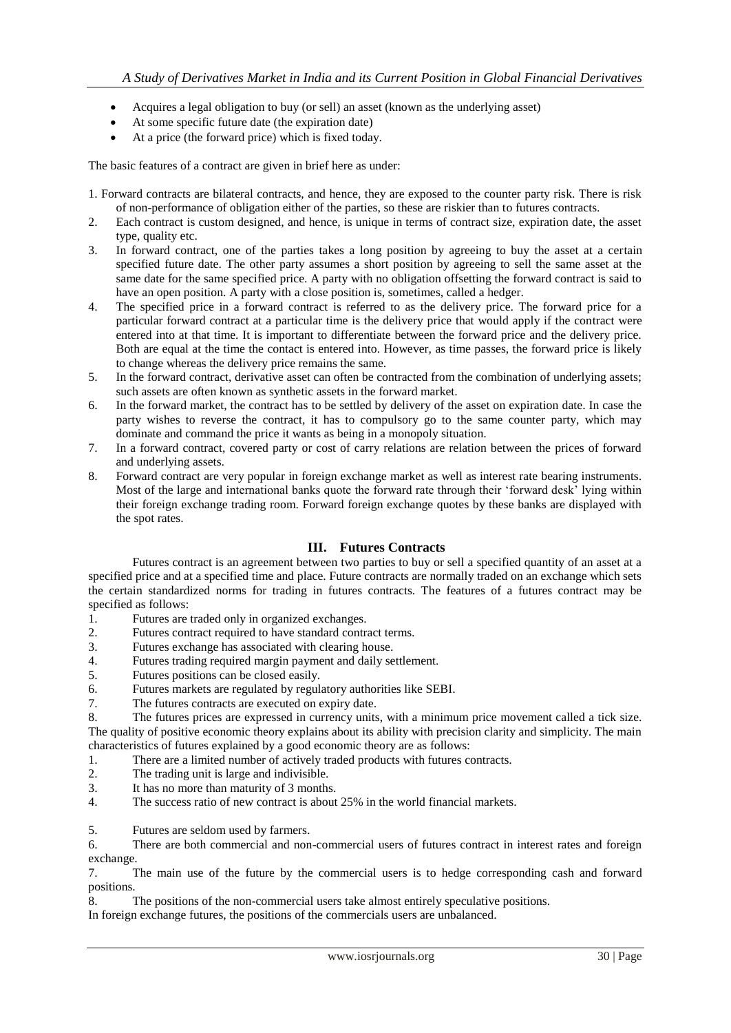- Acquires a legal obligation to buy (or sell) an asset (known as the underlying asset)
- At some specific future date (the expiration date)
- At a price (the forward price) which is fixed today.

The basic features of a contract are given in brief here as under:

- 1. Forward contracts are bilateral contracts, and hence, they are exposed to the counter party risk. There is risk of non-performance of obligation either of the parties, so these are riskier than to futures contracts.
- 2. Each contract is custom designed, and hence, is unique in terms of contract size, expiration date, the asset type, quality etc.
- 3. In forward contract, one of the parties takes a long position by agreeing to buy the asset at a certain specified future date. The other party assumes a short position by agreeing to sell the same asset at the same date for the same specified price. A party with no obligation offsetting the forward contract is said to have an open position. A party with a close position is, sometimes, called a hedger.
- 4. The specified price in a forward contract is referred to as the delivery price. The forward price for a particular forward contract at a particular time is the delivery price that would apply if the contract were entered into at that time. It is important to differentiate between the forward price and the delivery price. Both are equal at the time the contact is entered into. However, as time passes, the forward price is likely to change whereas the delivery price remains the same.
- 5. In the forward contract, derivative asset can often be contracted from the combination of underlying assets; such assets are often known as synthetic assets in the forward market.
- 6. In the forward market, the contract has to be settled by delivery of the asset on expiration date. In case the party wishes to reverse the contract, it has to compulsory go to the same counter party, which may dominate and command the price it wants as being in a monopoly situation.
- 7. In a forward contract, covered party or cost of carry relations are relation between the prices of forward and underlying assets.
- 8. Forward contract are very popular in foreign exchange market as well as interest rate bearing instruments. Most of the large and international banks quote the forward rate through their 'forward desk' lying within their foreign exchange trading room. Forward foreign exchange quotes by these banks are displayed with the spot rates.

# **III. Futures Contracts**

Futures contract is an agreement between two parties to buy or sell a specified quantity of an asset at a specified price and at a specified time and place. Future contracts are normally traded on an exchange which sets the certain standardized norms for trading in futures contracts. The features of a futures contract may be specified as follows:

- 1. Futures are traded only in organized exchanges.
- 2. Futures contract required to have standard contract terms.
- 3. Futures exchange has associated with clearing house.
- 4. Futures trading required margin payment and daily settlement.
- 5. Futures positions can be closed easily.
- 6. Futures markets are regulated by regulatory authorities like SEBI.
- 7. The futures contracts are executed on expiry date.

8. The futures prices are expressed in currency units, with a minimum price movement called a tick size. The quality of positive economic theory explains about its ability with precision clarity and simplicity. The main characteristics of futures explained by a good economic theory are as follows:

- 1. There are a limited number of actively traded products with futures contracts.
- 2. The trading unit is large and indivisible.
- 3. It has no more than maturity of 3 months.
- 4. The success ratio of new contract is about 25% in the world financial markets.

5. Futures are seldom used by farmers.

6. There are both commercial and non-commercial users of futures contract in interest rates and foreign exchange.

7. The main use of the future by the commercial users is to hedge corresponding cash and forward positions.

8. The positions of the non-commercial users take almost entirely speculative positions.

In foreign exchange futures, the positions of the commercials users are unbalanced.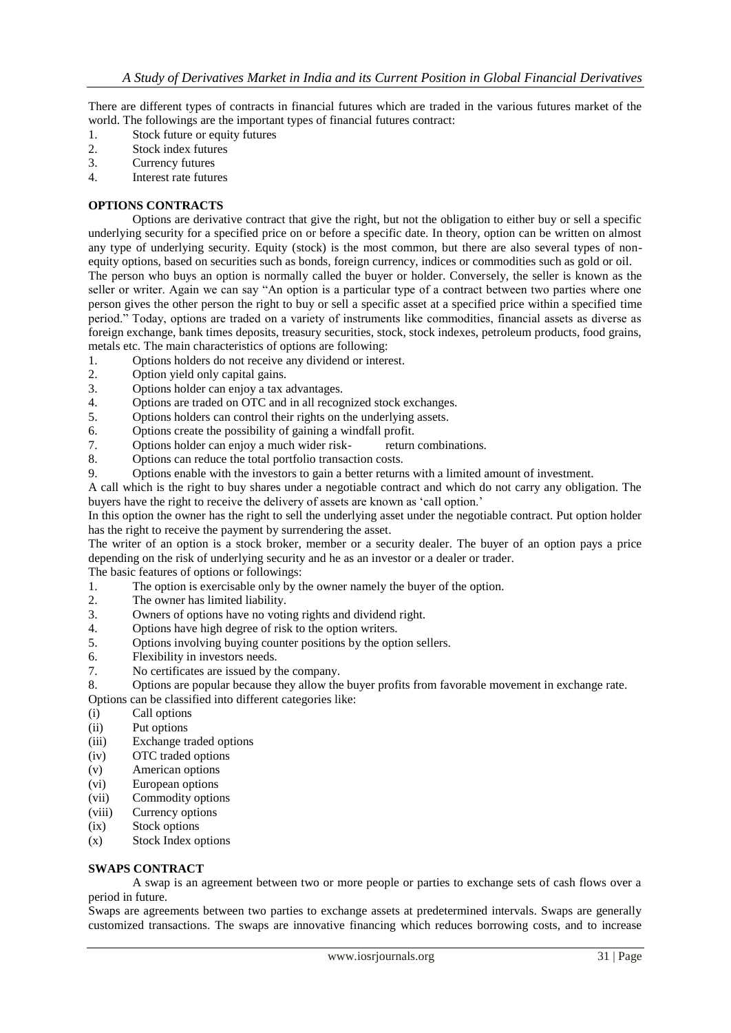There are different types of contracts in financial futures which are traded in the various futures market of the world. The followings are the important types of financial futures contract:

- 1. Stock future or equity futures
- 2. Stock index futures
- 3. Currency futures
- 4. Interest rate futures

#### **OPTIONS CONTRACTS**

Options are derivative contract that give the right, but not the obligation to either buy or sell a specific underlying security for a specified price on or before a specific date. In theory, option can be written on almost any type of underlying security. Equity (stock) is the most common, but there are also several types of nonequity options, based on securities such as bonds, foreign currency, indices or commodities such as gold or oil. The person who buys an option is normally called the buyer or holder. Conversely, the seller is known as the seller or writer. Again we can say "An option is a particular type of a contract between two parties where one person gives the other person the right to buy or sell a specific asset at a specified price within a specified time period." Today, options are traded on a variety of instruments like commodities, financial assets as diverse as foreign exchange, bank times deposits, treasury securities, stock, stock indexes, petroleum products, food grains, metals etc. The main characteristics of options are following:

- 1. Options holders do not receive any dividend or interest.
- 2. Option yield only capital gains.
- 3. Options holder can enjoy a tax advantages.
- 4. Options are traded on OTC and in all recognized stock exchanges.
- 5. Options holders can control their rights on the underlying assets.
- 6. Options create the possibility of gaining a windfall profit.
- 7. Options holder can enjoy a much wider risk- return combinations.
- 8. Options can reduce the total portfolio transaction costs.
- 9. Options enable with the investors to gain a better returns with a limited amount of investment.

A call which is the right to buy shares under a negotiable contract and which do not carry any obligation. The buyers have the right to receive the delivery of assets are known as 'call option.'

In this option the owner has the right to sell the underlying asset under the negotiable contract. Put option holder has the right to receive the payment by surrendering the asset.

The writer of an option is a stock broker, member or a security dealer. The buyer of an option pays a price depending on the risk of underlying security and he as an investor or a dealer or trader.

The basic features of options or followings:

- 1. The option is exercisable only by the owner namely the buyer of the option.
- 2. The owner has limited liability.
- 3. Owners of options have no voting rights and dividend right.
- 4. Options have high degree of risk to the option writers.
- 5. Options involving buying counter positions by the option sellers.
- 6. Flexibility in investors needs.
- 7. No certificates are issued by the company.

8. Options are popular because they allow the buyer profits from favorable movement in exchange rate.

Options can be classified into different categories like:

- (i) Call options
- (ii) Put options
- (iii) Exchange traded options
- (iv) OTC traded options
- (v) American options
- (vi) European options
- (vii) Commodity options
- (viii) Currency options
- (ix) Stock options
- (x) Stock Index options

#### **SWAPS CONTRACT**

A swap is an agreement between two or more people or parties to exchange sets of cash flows over a period in future.

Swaps are agreements between two parties to exchange assets at predetermined intervals. Swaps are generally customized transactions. The swaps are innovative financing which reduces borrowing costs, and to increase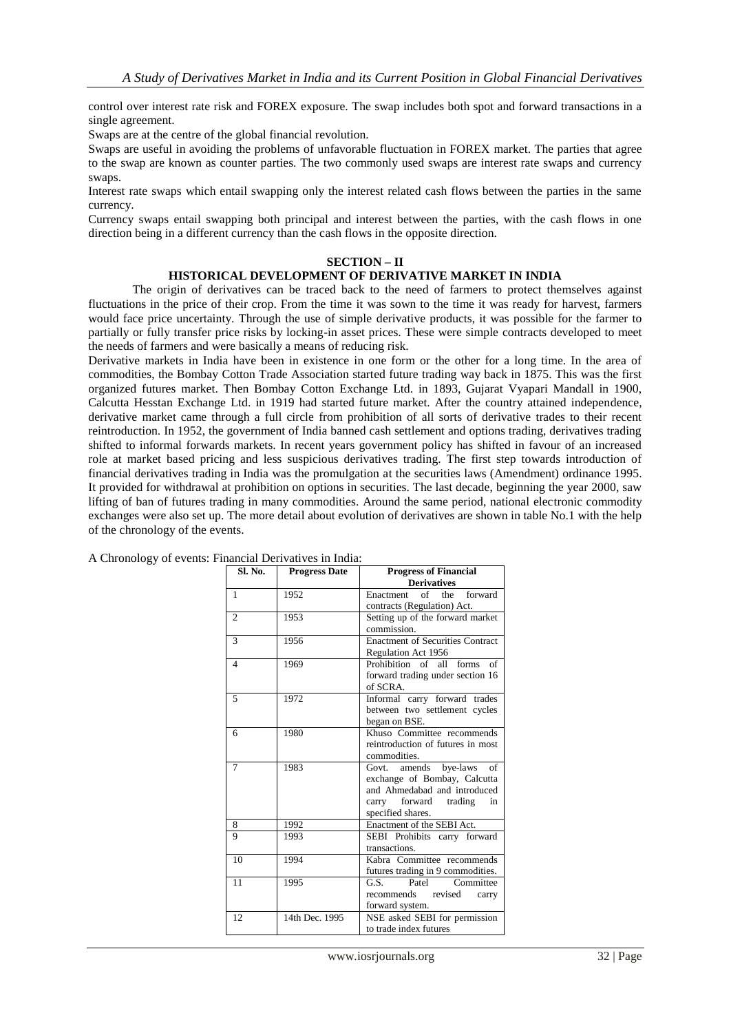control over interest rate risk and FOREX exposure. The swap includes both spot and forward transactions in a single agreement.

Swaps are at the centre of the global financial revolution.

Swaps are useful in avoiding the problems of unfavorable fluctuation in FOREX market. The parties that agree to the swap are known as counter parties. The two commonly used swaps are interest rate swaps and currency swaps.

Interest rate swaps which entail swapping only the interest related cash flows between the parties in the same currency.

Currency swaps entail swapping both principal and interest between the parties, with the cash flows in one direction being in a different currency than the cash flows in the opposite direction.

#### **SECTION – II**

# **HISTORICAL DEVELOPMENT OF DERIVATIVE MARKET IN INDIA**

The origin of derivatives can be traced back to the need of farmers to protect themselves against fluctuations in the price of their crop. From the time it was sown to the time it was ready for harvest, farmers would face price uncertainty. Through the use of simple derivative products, it was possible for the farmer to partially or fully transfer price risks by locking-in asset prices. These were simple contracts developed to meet the needs of farmers and were basically a means of reducing risk.

Derivative markets in India have been in existence in one form or the other for a long time. In the area of commodities, the Bombay Cotton Trade Association started future trading way back in 1875. This was the first organized futures market. Then Bombay Cotton Exchange Ltd. in 1893, Gujarat Vyapari Mandall in 1900, Calcutta Hesstan Exchange Ltd. in 1919 had started future market. After the country attained independence, derivative market came through a full circle from prohibition of all sorts of derivative trades to their recent reintroduction. In 1952, the government of India banned cash settlement and options trading, derivatives trading shifted to informal forwards markets. In recent years government policy has shifted in favour of an increased role at market based pricing and less suspicious derivatives trading. The first step towards introduction of financial derivatives trading in India was the promulgation at the securities laws (Amendment) ordinance 1995. It provided for withdrawal at prohibition on options in securities. The last decade, beginning the year 2000, saw lifting of ban of futures trading in many commodities. Around the same period, national electronic commodity exchanges were also set up. The more detail about evolution of derivatives are shown in table No.1 with the help of the chronology of the events.

| Sl. No.        | <b>Progress Date</b> | <b>Progress of Financial</b>            |  |  |  |
|----------------|----------------------|-----------------------------------------|--|--|--|
|                |                      | <b>Derivatives</b>                      |  |  |  |
| $\mathbf{1}$   | 1952                 | of the<br>forward<br>Enactment          |  |  |  |
|                |                      | contracts (Regulation) Act.             |  |  |  |
| $\overline{2}$ | 1953                 | Setting up of the forward market        |  |  |  |
|                |                      | commission.                             |  |  |  |
| 3              | 1956                 | <b>Enactment of Securities Contract</b> |  |  |  |
|                |                      | Regulation Act 1956                     |  |  |  |
| $\overline{4}$ | 1969                 | Prohibition of all<br>forms<br>of       |  |  |  |
|                |                      | forward trading under section 16        |  |  |  |
|                |                      | of SCRA.                                |  |  |  |
| 5              | 1972                 | Informal carry forward trades           |  |  |  |
|                |                      | between two settlement cycles           |  |  |  |
|                |                      | began on BSE.                           |  |  |  |
| 6              | 1980                 | Khuso Committee recommends              |  |  |  |
|                |                      | reintroduction of futures in most       |  |  |  |
|                |                      | commodities.                            |  |  |  |
| 7              | 1983                 | Govt.<br>amends<br>bye-laws<br>of       |  |  |  |
|                |                      | exchange of Bombay, Calcutta            |  |  |  |
|                |                      | and Ahmedabad and introduced            |  |  |  |
|                |                      | carry forward trading<br>in             |  |  |  |
|                |                      | specified shares.                       |  |  |  |
| 8              | 1992                 | Enactment of the SEBI Act.              |  |  |  |
| 9              | 1993                 | SEBI Prohibits carry forward            |  |  |  |
|                |                      | transactions.                           |  |  |  |
| 10             | 1994                 | Kabra Committee recommends              |  |  |  |
|                |                      | futures trading in 9 commodities.       |  |  |  |
| 11             | 1995                 | Patel<br>G.S.<br>Committee              |  |  |  |
|                |                      | recommends revised<br>carry             |  |  |  |
|                |                      | forward system.                         |  |  |  |
| 12             | 14th Dec. 1995       | NSE asked SEBI for permission           |  |  |  |
|                |                      | to trade index futures                  |  |  |  |

A Chronology of events: Financial Derivatives in India: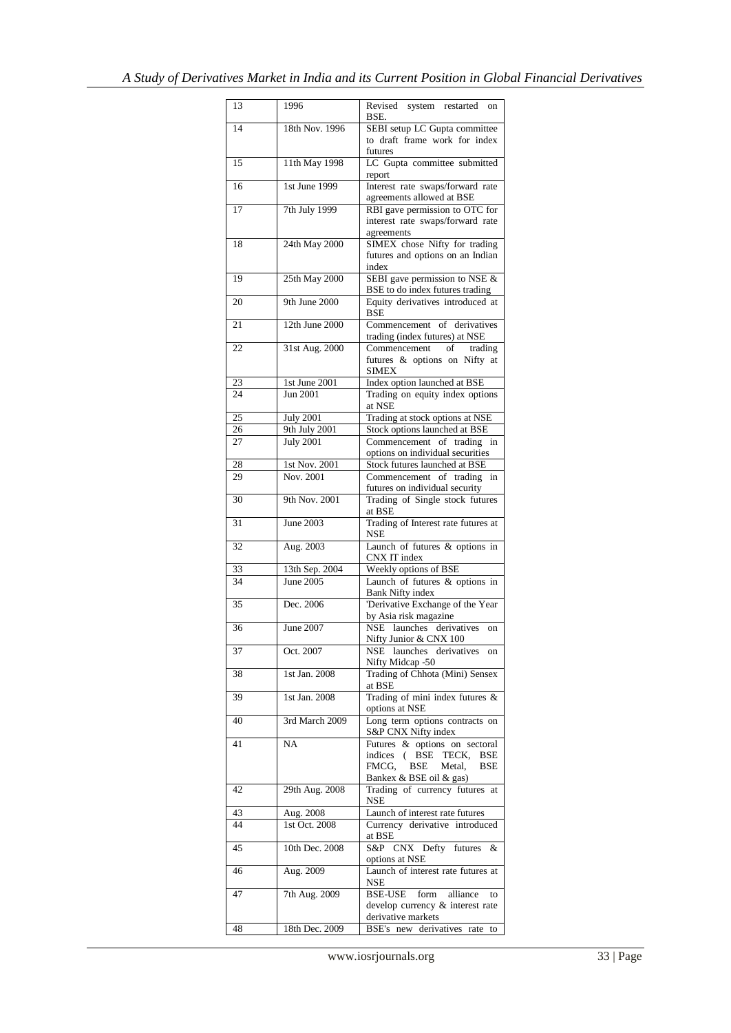| 13       | 1996                              | Revised system restarted<br>on<br>BSE.                                             |
|----------|-----------------------------------|------------------------------------------------------------------------------------|
| 14       | 18th Nov. 1996                    | SEBI setup LC Gupta committee                                                      |
|          |                                   | to draft frame work for index<br>futures                                           |
| 15       | 11th May 1998                     | LC Gupta committee submitted                                                       |
|          |                                   | report                                                                             |
| 16       | 1st June 1999                     | Interest rate swaps/forward rate<br>agreements allowed at BSE                      |
| 17       | 7th July 1999                     | RBI gave permission to OTC for                                                     |
|          |                                   | interest rate swaps/forward rate<br>agreements                                     |
| 18       | 24th May 2000                     | SIMEX chose Nifty for trading                                                      |
|          |                                   | futures and options on an Indian<br>index                                          |
| 19       | 25th May 2000                     | SEBI gave permission to NSE &<br>BSE to do index futures trading                   |
| 20       | 9th June 2000                     | Equity derivatives introduced at<br><b>BSE</b>                                     |
| 21       | 12th June 2000                    | Commencement of derivatives                                                        |
| 22       | 31st Aug. 2000                    | trading (index futures) at NSE<br>Commencement<br>of<br>trading                    |
|          |                                   | futures & options on Nifty at<br><b>SIMEX</b>                                      |
| 23       | 1st June 2001                     | Index option launched at BSE                                                       |
| 24       | <b>Jun 2001</b>                   | Trading on equity index options<br>at NSE                                          |
| 25       | <b>July 2001</b>                  | Trading at stock options at NSE                                                    |
| 26<br>27 | 9th July 2001<br><b>July 2001</b> | Stock options launched at BSE<br>Commencement of trading                           |
|          |                                   | in<br>options on individual securities                                             |
| 28       | 1st Nov. 2001                     | Stock futures launched at BSE                                                      |
| 29       | Nov. 2001                         | Commencement of trading<br>in                                                      |
| 30       | 9th Nov. 2001                     | futures on individual security<br>Trading of Single stock futures                  |
|          |                                   | at BSE                                                                             |
| 31       | <b>June 2003</b>                  | Trading of Interest rate futures at<br>NSE                                         |
| 32       | Aug. 2003                         | Launch of futures & options in<br>CNX IT index                                     |
| 33       | 13th Sep. 2004                    | Weekly options of BSE                                                              |
| 34       | June 2005                         | Launch of futures & options in<br><b>Bank Nifty index</b>                          |
| 35       | Dec. 2006                         | 'Derivative Exchange of the Year                                                   |
|          | <b>June 2007</b>                  | by Asia risk magazine<br>NSE launches derivatives                                  |
| 36       |                                   | on<br>Nifty Junior & CNX 100                                                       |
| 37       | Oct. 2007                         | NSE launches derivatives on<br>Nifty Midcap -50                                    |
| 38       | 1st Jan. 2008                     | Trading of Chhota (Mini) Sensex<br>at BSE                                          |
| 39       | 1st Jan. 2008                     | Trading of mini index futures &<br>options at NSE                                  |
| 40       | 3rd March 2009                    | Long term options contracts on<br>S&P CNX Nifty index                              |
| 41       | NA                                | Futures & options on sectoral                                                      |
|          |                                   | indices (BSE<br>TECK,<br><b>BSE</b><br>FMCG.<br><b>BSE</b><br>Metal,<br><b>BSE</b> |
|          |                                   | Bankex & BSE oil & gas)                                                            |
| 42       | 29th Aug. 2008                    | Trading of currency futures at<br><b>NSE</b>                                       |
| 43       | Aug. 2008                         | Launch of interest rate futures                                                    |
| 44       | 1st Oct. 2008                     | Currency derivative introduced                                                     |
| 45       | 10th Dec. 2008                    | at BSE<br>S&P CNX Defty futures<br>&                                               |
|          |                                   | options at NSE                                                                     |
| 46       | Aug. 2009                         | Launch of interest rate futures at<br>NSE                                          |
| 47       | 7th Aug. 2009                     | <b>BSE-USE</b><br>form alliance<br>to                                              |
|          |                                   | develop currency & interest rate<br>derivative markets                             |
| 48       | 18th Dec. 2009                    | BSE's new derivatives rate to                                                      |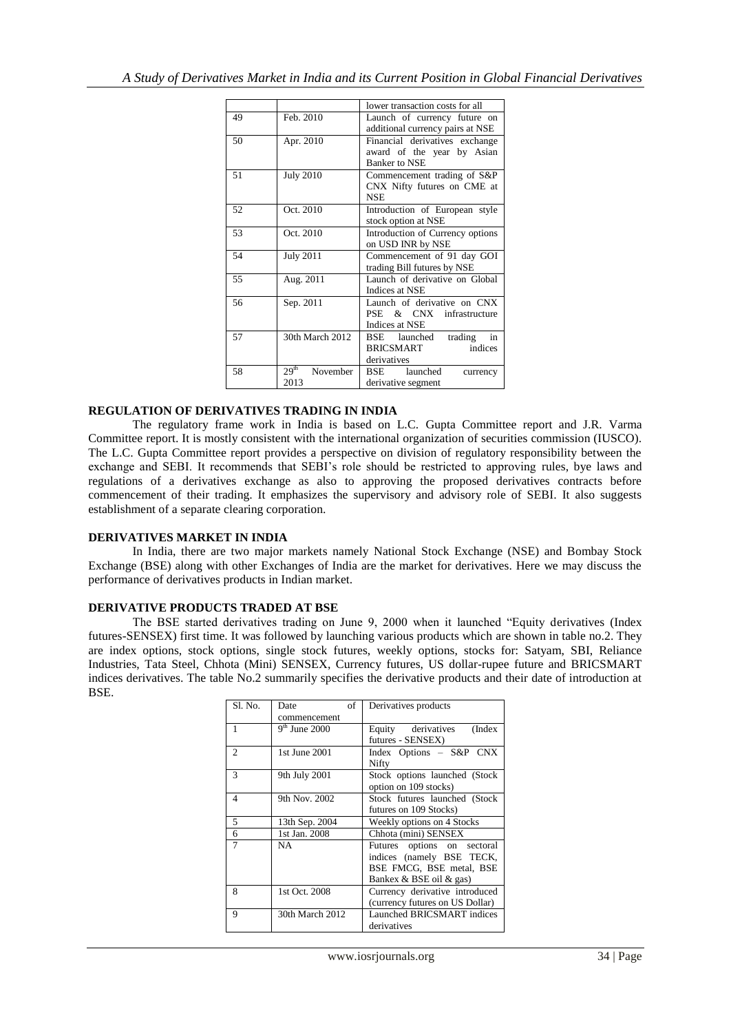|    |                                      | lower transaction costs for all                                                      |
|----|--------------------------------------|--------------------------------------------------------------------------------------|
| 49 | Feb. 2010                            | Launch of currency future on<br>additional currency pairs at NSE                     |
| 50 | Apr. 2010                            | Financial derivatives exchange<br>award of the year by Asian<br><b>Banker to NSE</b> |
| 51 | <b>July 2010</b>                     | Commencement trading of S&P<br>CNX Nifty futures on CME at<br><b>NSE</b>             |
| 52 | Oct. 2010                            | Introduction of European style<br>stock option at NSE                                |
| 53 | Oct. 2010                            | Introduction of Currency options<br>on USD INR by NSE                                |
| 54 | <b>July 2011</b>                     | Commencement of 91 day GOI<br>trading Bill futures by NSE                            |
| 55 | Aug. 2011                            | Launch of derivative on Global<br>Indices at NSE                                     |
| 56 | Sep. 2011                            | Launch of derivative on CNX<br>PSE & CNX infrastructure<br>Indices at NSE            |
| 57 | 30th March 2012                      | BSE launched<br>trading<br>in<br>BRICSMART<br>indices<br>derivatives                 |
| 58 | 29 <sup>th</sup><br>November<br>2013 | BSE launched<br>currency<br>derivative segment                                       |

# **REGULATION OF DERIVATIVES TRADING IN INDIA**

The regulatory frame work in India is based on L.C. Gupta Committee report and J.R. Varma Committee report. It is mostly consistent with the international organization of securities commission (IUSCO). The L.C. Gupta Committee report provides a perspective on division of regulatory responsibility between the exchange and SEBI. It recommends that SEBI"s role should be restricted to approving rules, bye laws and regulations of a derivatives exchange as also to approving the proposed derivatives contracts before commencement of their trading. It emphasizes the supervisory and advisory role of SEBI. It also suggests establishment of a separate clearing corporation.

# **DERIVATIVES MARKET IN INDIA**

In India, there are two major markets namely National Stock Exchange (NSE) and Bombay Stock Exchange (BSE) along with other Exchanges of India are the market for derivatives. Here we may discuss the performance of derivatives products in Indian market.

# **DERIVATIVE PRODUCTS TRADED AT BSE**

The BSE started derivatives trading on June 9, 2000 when it launched "Equity derivatives (Index futures-SENSEX) first time. It was followed by launching various products which are shown in table no.2. They are index options, stock options, single stock futures, weekly options, stocks for: Satyam, SBI, Reliance Industries, Tata Steel, Chhota (Mini) SENSEX, Currency futures, US dollar-rupee future and BRICSMART indices derivatives. The table No.2 summarily specifies the derivative products and their date of introduction at BSE.

| Sl. No.        | of<br>Date      | Derivatives products            |
|----------------|-----------------|---------------------------------|
|                | commencement    |                                 |
| $\overline{1}$ | $9th$ June 2000 | Equity derivatives<br>(Index    |
|                |                 | futures - SENSEX)               |
| $\overline{2}$ | 1st June 2001   | Index Options - S&P CNX         |
|                |                 | Nifty                           |
| 3              | 9th July 2001   | Stock options launched (Stock   |
|                |                 | option on 109 stocks)           |
| 4              | 9th Nov. 2002   | Stock futures launched (Stock   |
|                |                 | futures on 109 Stocks)          |
| 5              | 13th Sep. 2004  | Weekly options on 4 Stocks      |
| 6              | 1st Jan. 2008   | Chhota (mini) SENSEX            |
| $\overline{7}$ | NA              | Futures options on sectoral     |
|                |                 | indices (namely BSE TECK,       |
|                |                 | BSE FMCG, BSE metal, BSE        |
|                |                 | Bankex & BSE oil & gas)         |
| 8              | 1st Oct. 2008   | Currency derivative introduced  |
|                |                 | (currency futures on US Dollar) |
| 9              | 30th March 2012 | Launched BRICSMART indices      |
|                |                 | derivatives                     |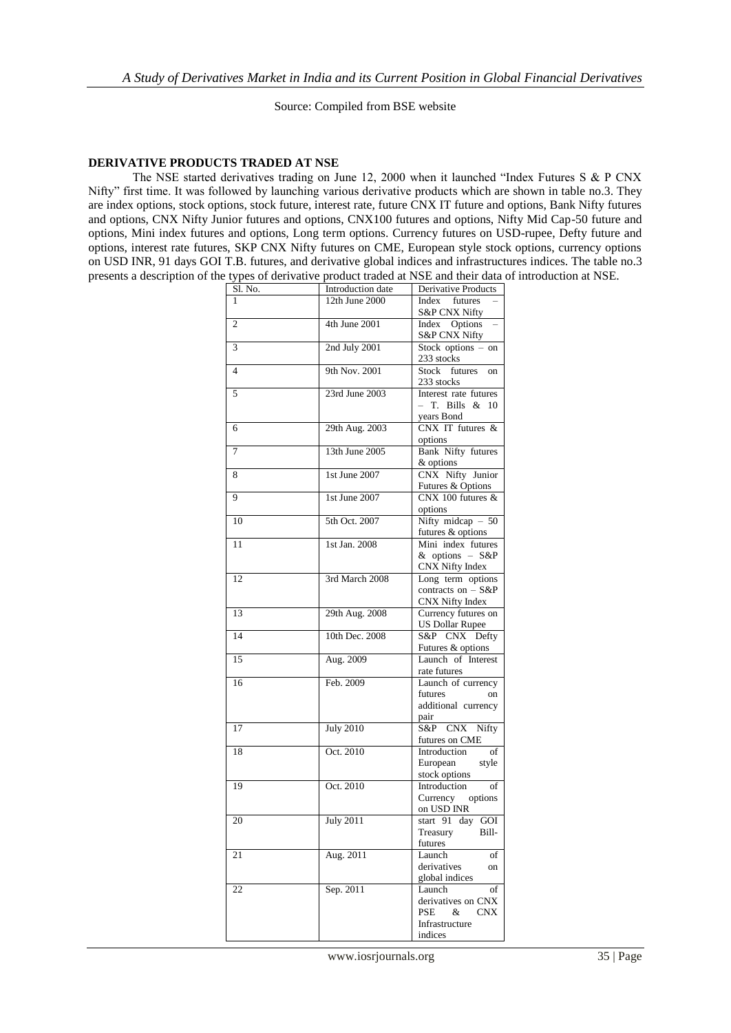Source: Compiled from BSE website

### **DERIVATIVE PRODUCTS TRADED AT NSE**

The NSE started derivatives trading on June 12, 2000 when it launched "Index Futures S & P CNX Nifty" first time. It was followed by launching various derivative products which are shown in table no.3. They are index options, stock options, stock future, interest rate, future CNX IT future and options, Bank Nifty futures and options, CNX Nifty Junior futures and options, CNX100 futures and options, Nifty Mid Cap-50 future and options, Mini index futures and options, Long term options. Currency futures on USD-rupee, Defty future and options, interest rate futures, SKP CNX Nifty futures on CME, European style stock options, currency options on USD INR, 91 days GOI T.B. futures, and derivative global indices and infrastructures indices. The table no.3 presents a description of the types of derivative product traded at NSE and their data of introduction at NSE.

| Sl. No. | Introduction date | Derivative Products       |
|---------|-------------------|---------------------------|
|         | 12th June 2000    | Index futures             |
|         |                   | S&P CNX Nifty             |
| 2       | 4th June 2001     | Index Options             |
|         |                   | S&P CNX Nifty             |
| 3       | 2nd July 2001     | Stock options - on        |
|         |                   | 233 stocks                |
| 4       | 9th Nov. 2001     | Stock<br>futures          |
|         |                   | on                        |
|         |                   | 233 stocks                |
| 5       | 23rd June 2003    | Interest rate futures     |
|         |                   | – T. Bills &<br>10        |
|         |                   | years Bond                |
| 6       | 29th Aug. 2003    | CNX IT futures &          |
|         |                   | options                   |
| 7       | 13th June 2005    | <b>Bank Nifty futures</b> |
|         |                   | & options                 |
| 8       | 1st June 2007     | CNX Nifty Junior          |
|         |                   | Futures & Options         |
| 9       | 1st June 2007     | CNX 100 futures &         |
|         |                   |                           |
|         |                   | options                   |
| 10      | 5th Oct. 2007     | Nifty midcap $-50$        |
|         |                   | futures & options         |
| 11      | 1st Jan. 2008     | Mini index futures        |
|         |                   | & options - S&P           |
|         |                   | CNX Nifty Index           |
| 12      | 3rd March 2008    | Long term options         |
|         |                   | contracts on $-$ S&P      |
|         |                   | CNX Nifty Index           |
| 13      | 29th Aug. 2008    | Currency futures on       |
|         |                   | <b>US Dollar Rupee</b>    |
| 14      | 10th Dec. 2008    | S&P CNX Defty             |
|         |                   |                           |
|         |                   | Futures & options         |
| 15      | Aug. 2009         | Launch of Interest        |
|         |                   | rate futures              |
| 16      | Feb. 2009         | Launch of currency        |
|         |                   | futures<br>on             |
|         |                   | additional currency       |
|         |                   | pair                      |
| 17      | <b>July 2010</b>  | S&P CNX Nifty             |
|         |                   | futures on CME            |
| 18      | Oct. 2010         | Introduction<br>of        |
|         |                   | European<br>style         |
|         |                   | stock options             |
| 19      | Oct. 2010         | Introduction<br>of        |
|         |                   |                           |
|         |                   | Currency options          |
|         |                   | on USD INR                |
| 20      | <b>July 2011</b>  | start 91 day GOI          |
|         |                   | Treasury<br>Bill-         |
|         |                   | futures                   |
| 21      | Aug. 2011         | Launch<br>of              |
|         |                   | derivatives<br>on         |
|         |                   | global indices            |
| 22      | Sep. 2011         | Launch<br>of              |
|         |                   | derivatives on CNX        |
|         |                   | PSE &<br><b>CNX</b>       |
|         |                   | Infrastructure            |
|         |                   |                           |
|         |                   | indices                   |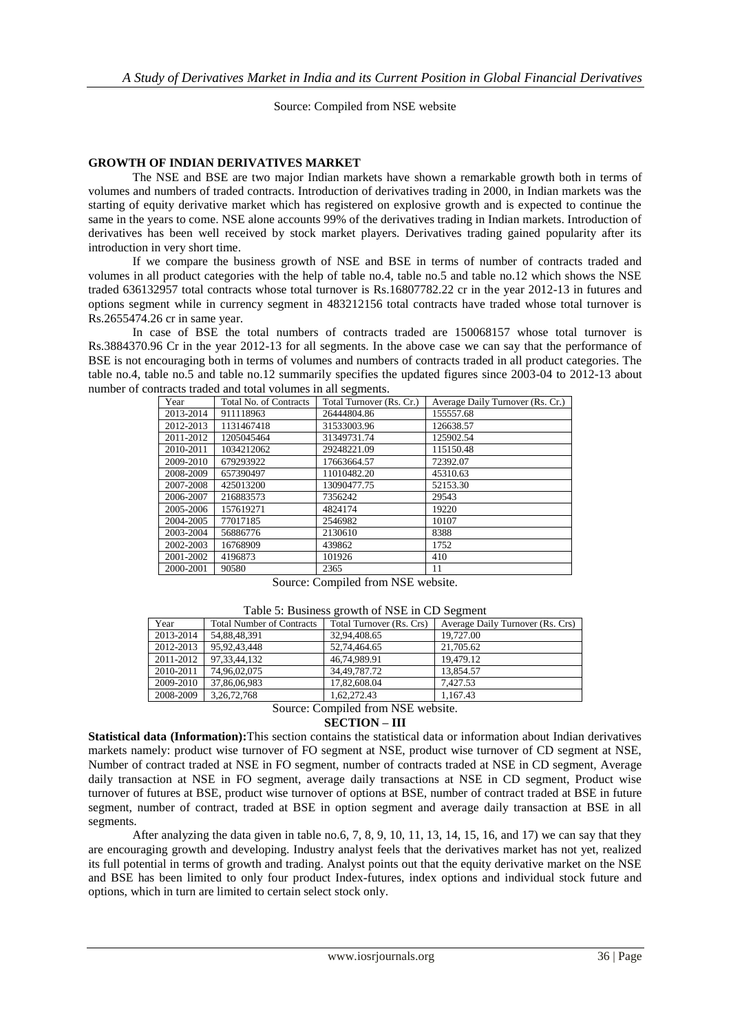Source: Compiled from NSE website

# **GROWTH OF INDIAN DERIVATIVES MARKET**

The NSE and BSE are two major Indian markets have shown a remarkable growth both in terms of volumes and numbers of traded contracts. Introduction of derivatives trading in 2000, in Indian markets was the starting of equity derivative market which has registered on explosive growth and is expected to continue the same in the years to come. NSE alone accounts 99% of the derivatives trading in Indian markets. Introduction of derivatives has been well received by stock market players. Derivatives trading gained popularity after its introduction in very short time.

If we compare the business growth of NSE and BSE in terms of number of contracts traded and volumes in all product categories with the help of table no.4, table no.5 and table no.12 which shows the NSE traded 636132957 total contracts whose total turnover is Rs.16807782.22 cr in the year 2012-13 in futures and options segment while in currency segment in 483212156 total contracts have traded whose total turnover is Rs.2655474.26 cr in same year.

In case of BSE the total numbers of contracts traded are 150068157 whose total turnover is Rs.3884370.96 Cr in the year 2012-13 for all segments. In the above case we can say that the performance of BSE is not encouraging both in terms of volumes and numbers of contracts traded in all product categories. The table no.4, table no.5 and table no.12 summarily specifies the updated figures since 2003-04 to 2012-13 about number of contracts traded and total volumes in all segments.

| Year      | <b>Total No. of Contracts</b> | Total Turnover (Rs. Cr.) | Average Daily Turnover (Rs. Cr.) |
|-----------|-------------------------------|--------------------------|----------------------------------|
| 2013-2014 | 911118963                     | 26444804.86              | 155557.68                        |
| 2012-2013 | 1131467418                    | 31533003.96              | 126638.57                        |
| 2011-2012 | 1205045464                    | 31349731.74              | 125902.54                        |
| 2010-2011 | 1034212062                    | 29248221.09              | 115150.48                        |
| 2009-2010 | 679293922                     | 17663664.57              | 72392.07                         |
| 2008-2009 | 657390497                     | 11010482.20              | 45310.63                         |
| 2007-2008 | 425013200                     | 13090477.75              | 52153.30                         |
| 2006-2007 | 216883573                     | 7356242                  | 29543                            |
| 2005-2006 | 157619271                     | 4824174                  | 19220                            |
| 2004-2005 | 77017185                      | 2546982                  | 10107                            |
| 2003-2004 | 56886776                      | 2130610                  | 8388                             |
| 2002-2003 | 16768909                      | 439862                   | 1752                             |
| 2001-2002 | 4196873                       | 101926                   | 410                              |
| 2000-2001 | 90580                         | 2365                     | 11                               |

Source: Compiled from NSE website.

| Table 5: Business growth of NSE in CD Segment |  |  |  |
|-----------------------------------------------|--|--|--|
|-----------------------------------------------|--|--|--|

| Year      | <b>Total Number of Contracts</b> | Total Turnover (Rs. Crs)            | Average Daily Turnover (Rs. Crs) |
|-----------|----------------------------------|-------------------------------------|----------------------------------|
| 2013-2014 | 54,88,48,391                     | 32,94,408.65                        | 19,727.00                        |
| 2012-2013 | 95, 92, 43, 448                  | 52,74,464.65                        | 21,705.62                        |
| 2011-2012 | 97.33.44.132                     | 46.74.989.91                        | 19.479.12                        |
| 2010-2011 | 74.96.02.075                     | 34,49,787.72                        | 13.854.57                        |
| 2009-2010 | 37,86,06,983                     | 17,82,608.04                        | 7.427.53                         |
| 2008-2009 | 3, 26, 72, 768                   | 1.62.272.43                         | 1.167.43                         |
|           |                                  | $\alpha$ $\alpha$ $\alpha$ $\alpha$ | $\cdots$                         |

Source: Compiled from NSE website. **SECTION – III**

**Statistical data (Information):**This section contains the statistical data or information about Indian derivatives markets namely: product wise turnover of FO segment at NSE, product wise turnover of CD segment at NSE, Number of contract traded at NSE in FO segment, number of contracts traded at NSE in CD segment, Average daily transaction at NSE in FO segment, average daily transactions at NSE in CD segment, Product wise turnover of futures at BSE, product wise turnover of options at BSE, number of contract traded at BSE in future segment, number of contract, traded at BSE in option segment and average daily transaction at BSE in all segments.

After analyzing the data given in table no.6, 7, 8, 9, 10, 11, 13, 14, 15, 16, and 17) we can say that they are encouraging growth and developing. Industry analyst feels that the derivatives market has not yet, realized its full potential in terms of growth and trading. Analyst points out that the equity derivative market on the NSE and BSE has been limited to only four product Index-futures, index options and individual stock future and options, which in turn are limited to certain select stock only.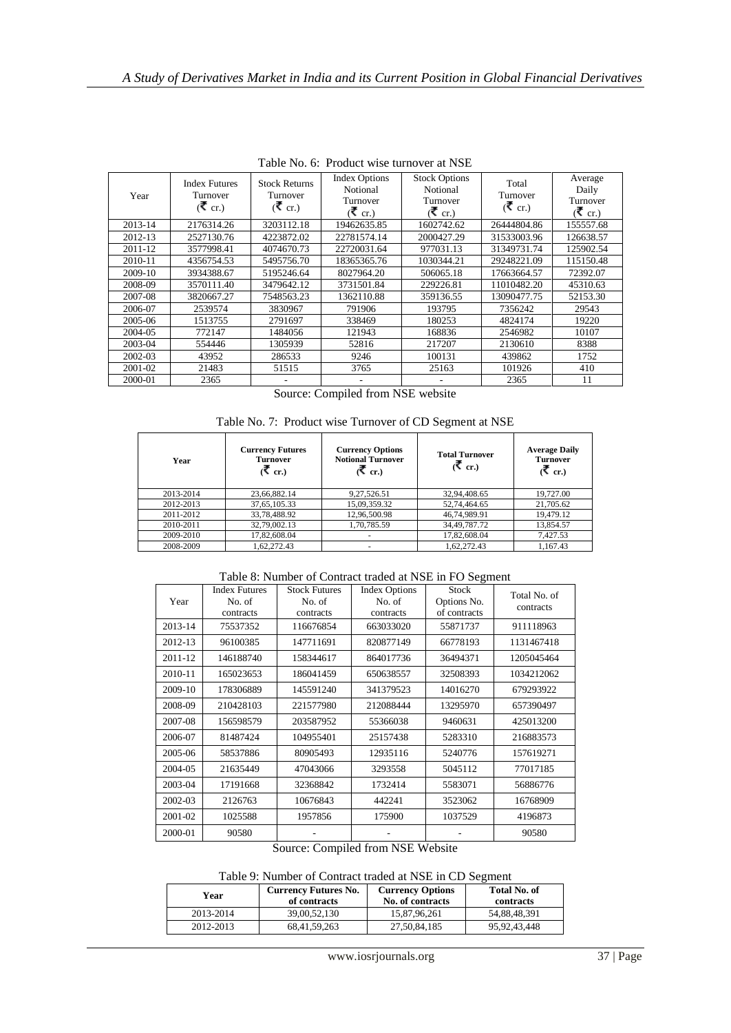|         | Taon I w. v. Though who hannover at I w.       |                                                |                                                            |                                                            |                                 |                                            |  |
|---------|------------------------------------------------|------------------------------------------------|------------------------------------------------------------|------------------------------------------------------------|---------------------------------|--------------------------------------------|--|
| Year    | <b>Index Futures</b><br>Turnover<br>$($ ₹ cr.) | <b>Stock Returns</b><br>Turnover<br>$($ ₹ cr.) | <b>Index Options</b><br>Notional<br>Turnover<br>$($ ₹ cr.) | <b>Stock Options</b><br>Notional<br>Turnover<br>$($ ₹ cr.) | Total<br>Turnover<br>$($ ₹ cr.) | Average<br>Daily<br>Turnover<br>$($ ₹ cr.) |  |
| 2013-14 | 2176314.26                                     | 3203112.18                                     | 19462635.85                                                | 1602742.62                                                 | 26444804.86                     | 155557.68                                  |  |
| 2012-13 | 2527130.76                                     | 4223872.02                                     | 22781574.14                                                | 2000427.29                                                 | 31533003.96                     | 126638.57                                  |  |
| 2011-12 | 3577998.41                                     | 4074670.73                                     | 22720031.64                                                | 977031.13                                                  | 31349731.74                     | 125902.54                                  |  |
| 2010-11 | 4356754.53                                     | 5495756.70                                     | 18365365.76                                                | 1030344.21                                                 | 29248221.09                     | 115150.48                                  |  |
| 2009-10 | 3934388.67                                     | 5195246.64                                     | 8027964.20                                                 | 506065.18                                                  | 17663664.57                     | 72392.07                                   |  |
| 2008-09 | 3570111.40                                     | 3479642.12                                     | 3731501.84                                                 | 229226.81                                                  | 11010482.20                     | 45310.63                                   |  |
| 2007-08 | 3820667.27                                     | 7548563.23                                     | 1362110.88                                                 | 359136.55                                                  | 13090477.75                     | 52153.30                                   |  |
| 2006-07 | 2539574                                        | 3830967                                        | 791906                                                     | 193795                                                     | 7356242                         | 29543                                      |  |
| 2005-06 | 1513755                                        | 2791697                                        | 338469                                                     | 180253                                                     | 4824174                         | 19220                                      |  |
| 2004-05 | 772147                                         | 1484056                                        | 121943                                                     | 168836                                                     | 2546982                         | 10107                                      |  |
| 2003-04 | 554446                                         | 1305939                                        | 52816                                                      | 217207                                                     | 2130610                         | 8388                                       |  |
| 2002-03 | 43952                                          | 286533                                         | 9246                                                       | 100131                                                     | 439862                          | 1752                                       |  |
| 2001-02 | 21483                                          | 51515                                          | 3765                                                       | 25163                                                      | 101926                          | 410                                        |  |
| 2000-01 | 2365                                           |                                                |                                                            |                                                            | 2365                            | 11                                         |  |

Table No. 6: Product wise turnover at NSE

Source: Compiled from NSE website

| Table No. 7: Product wise Turnover of CD Segment at NSE |  |  |  |  |  |  |
|---------------------------------------------------------|--|--|--|--|--|--|
|---------------------------------------------------------|--|--|--|--|--|--|

| Year      | <b>Currency Futures</b><br><b>Turnover</b><br>$(math>^{\mathbf{F}}$ cr.) | <b>Currency Options</b><br><b>Notional Turnover</b><br>(₹ cr.) | <b>Total Turnover</b><br>(₹ cr.) | <b>Average Daily</b><br><b>Turnover</b><br>(₹ cr.) |
|-----------|--------------------------------------------------------------------------|----------------------------------------------------------------|----------------------------------|----------------------------------------------------|
| 2013-2014 | 23,66,882.14                                                             | 9,27,526.51                                                    | 32,94,408.65                     | 19,727.00                                          |
| 2012-2013 | 37, 65, 105. 33                                                          | 15,09,359.32                                                   | 52,74,464.65                     | 21,705.62                                          |
| 2011-2012 | 33,78,488.92                                                             | 12,96,500.98                                                   | 46,74,989.91                     | 19,479.12                                          |
| 2010-2011 | 32,79,002.13                                                             | 1.70.785.59                                                    | 34.49.787.72                     | 13,854.57                                          |
| 2009-2010 | 17.82,608.04                                                             |                                                                | 17,82,608.04                     | 7,427.53                                           |
| 2008-2009 | 1.62.272.43                                                              | ٠                                                              | 1.62.272.43                      | 1.167.43                                           |

Table 8: Number of Contract traded at NSE in FO Segment

| Year    | <b>Index Futures</b><br>No. of<br>contracts | <b>Stock Futures</b><br>No. of<br>contracts | <b>Index Options</b><br>No. of<br>contracts | Stock<br>Options No.<br>of contracts | Total No. of<br>contracts |
|---------|---------------------------------------------|---------------------------------------------|---------------------------------------------|--------------------------------------|---------------------------|
| 2013-14 | 75537352                                    | 116676854                                   | 663033020                                   | 55871737                             | 911118963                 |
| 2012-13 | 96100385                                    | 147711691                                   | 820877149                                   | 66778193                             | 1131467418                |
| 2011-12 | 146188740                                   | 158344617                                   | 864017736                                   | 36494371                             | 1205045464                |
| 2010-11 | 165023653                                   | 186041459                                   | 650638557                                   | 32508393                             | 1034212062                |
| 2009-10 | 178306889                                   | 145591240                                   | 341379523                                   | 14016270                             | 679293922                 |
| 2008-09 | 210428103                                   | 221577980                                   | 212088444                                   | 13295970                             | 657390497                 |
| 2007-08 | 156598579                                   | 203587952                                   | 55366038                                    | 9460631                              | 425013200                 |
| 2006-07 | 81487424                                    | 104955401                                   | 25157438                                    | 5283310                              | 216883573                 |
| 2005-06 | 58537886                                    | 80905493                                    | 12935116                                    | 5240776                              | 157619271                 |
| 2004-05 | 21635449                                    | 47043066                                    | 3293558                                     | 5045112                              | 77017185                  |
| 2003-04 | 17191668                                    | 32368842                                    | 1732414                                     | 5583071                              | 56886776                  |
| 2002-03 | 2126763                                     | 10676843                                    | 442241                                      | 3523062                              | 16768909                  |
| 2001-02 | 1025588                                     | 1957856                                     | 175900                                      | 1037529                              | 4196873                   |
| 2000-01 | 90580                                       |                                             |                                             |                                      | 90580                     |

Source: Compiled from NSE Website

Table 9: Number of Contract traded at NSE in CD Segment

| Year      | <b>Currency Futures No.</b><br>of contracts | <b>Currency Options</b><br>No. of contracts | Total No. of<br>contracts |
|-----------|---------------------------------------------|---------------------------------------------|---------------------------|
| 2013-2014 | 39,00.52,130                                | 15.87.96.261                                | 54.88.48.391              |
| 2012-2013 | 68,41,59,263                                | 27,50,84,185                                | 95, 92, 43, 448           |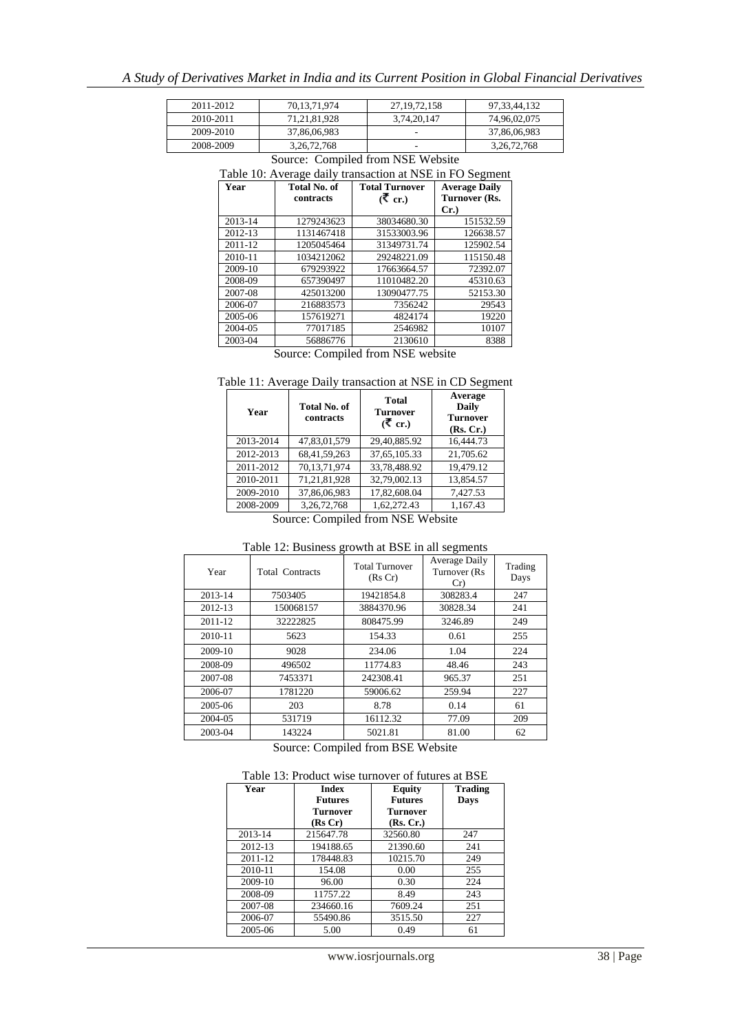| 2011-2012 | 70.13.71.974   | 27, 19, 72, 158 | 97.33.44.132   |
|-----------|----------------|-----------------|----------------|
| 2010-2011 | 71.21.81.928   | 3,74,20,147     | 74.96.02.075   |
| 2009-2010 | 37,86,06,983   |                 | 37,86,06,983   |
| 2008-2009 | 3, 26, 72, 768 |                 | 3, 26, 72, 768 |

| Year        | Total No. of<br>contracts | <b>Total Turnover</b><br>$($ ₹ cr.) | <b>Average Daily</b><br>Turnover (Rs. |
|-------------|---------------------------|-------------------------------------|---------------------------------------|
|             |                           |                                     | $Cr.$ )                               |
| 2013-14     | 1279243623                | 38034680.30                         | 151532.59                             |
| 2012-13     | 1131467418                | 31533003.96                         | 126638.57                             |
| $2011 - 12$ | 1205045464                | 31349731.74                         | 125902.54                             |
| 2010-11     | 1034212062                | 29248221.09                         | 115150.48                             |
| 2009-10     | 679293922                 | 17663664.57                         | 72392.07                              |
| 2008-09     | 657390497                 | 11010482.20                         | 45310.63                              |
| 2007-08     | 425013200                 | 13090477.75                         | 52153.30                              |
| 2006-07     | 216883573                 | 7356242                             | 29543                                 |
| 2005-06     | 157619271                 | 4824174                             | 19220                                 |
| 2004-05     | 77017185                  | 2546982                             | 10107                                 |
| 2003-04     | 56886776                  | 2130610                             | 8388                                  |

# Source: Compiled from NSE Website

Source: Compiled from NSE website

| Table 11: Average Daily transaction at NSE in CD Segment |  |
|----------------------------------------------------------|--|
|----------------------------------------------------------|--|

| Year      | <b>Total No. of</b><br>contracts | <b>Total</b><br><b>Turnover</b><br>(₹ cr.) | Average<br><b>Daily</b><br><b>Turnover</b><br>(Rs, Cr.) |
|-----------|----------------------------------|--------------------------------------------|---------------------------------------------------------|
| 2013-2014 | 47,83,01,579                     | 29,40,885.92                               | 16,444.73                                               |
| 2012-2013 | 68,41,59,263                     | 37,65,105.33                               | 21,705.62                                               |
| 2011-2012 | 70,13,71,974                     | 33.78.488.92                               | 19,479.12                                               |
| 2010-2011 | 71,21,81,928                     | 32,79,002.13                               | 13.854.57                                               |
| 2009-2010 | 37,86,06,983                     | 17,82,608.04                               | 7,427.53                                                |
| 2008-2009 | 3,26,72,768                      | 1.62.272.43                                | 1.167.43                                                |
| $\sim$    | $\sim$ $\sim$ $\sim$ $\sim$      | $1.6$ MOD WI $1.2$                         |                                                         |

Source: Compiled from NSE Website

| Year    | <b>Total Contracts</b> | <b>Total Turnover</b><br>(Rs Cr) | Average Daily<br>Turnover (Rs)<br>Cr | Trading<br>Days |
|---------|------------------------|----------------------------------|--------------------------------------|-----------------|
| 2013-14 | 7503405                | 19421854.8                       | 308283.4                             | 247             |
| 2012-13 | 150068157              | 3884370.96                       | 30828.34                             | 241             |
| 2011-12 | 32222825               | 808475.99                        | 3246.89                              | 249             |
| 2010-11 | 5623                   | 154.33                           | 0.61                                 | 255             |
| 2009-10 | 9028                   | 234.06                           | 1.04                                 | 224             |
| 2008-09 | 496502                 | 11774.83                         | 48.46                                | 243             |
| 2007-08 | 7453371                | 242308.41                        | 965.37                               | 251             |
| 2006-07 | 1781220                | 59006.62                         | 259.94                               | 227             |
| 2005-06 | 203                    | 8.78                             | 0.14                                 | 61              |
| 2004-05 | 531719                 | 16112.32                         | 77.09                                | 209             |
| 2003-04 | 143224                 | 5021.81                          | 81.00                                | 62              |

Table 12: Business growth at BSE in all segments

Source: Compiled from BSE Website

| Year    | <b>Index</b><br><b>Equity</b><br><b>Futures</b><br><b>Futures</b><br><b>Turnover</b><br>Turnover<br>(Rs Cr)<br>(Rs, Cr.) |          | <b>Trading</b><br>Days |
|---------|--------------------------------------------------------------------------------------------------------------------------|----------|------------------------|
| 2013-14 | 215647.78                                                                                                                | 32560.80 | 247                    |
| 2012-13 | 194188.65                                                                                                                | 21390.60 | 241                    |
| 2011-12 | 178448.83                                                                                                                | 10215.70 | 249                    |
| 2010-11 | 154.08                                                                                                                   | 0.00     | 255                    |
| 2009-10 | 96.00                                                                                                                    | 0.30     | 224                    |
| 2008-09 | 11757.22                                                                                                                 | 8.49     | 243                    |
| 2007-08 | 234660.16                                                                                                                | 7609.24  | 251                    |
| 2006-07 | 55490.86                                                                                                                 | 3515.50  | 227                    |
| 2005-06 | 5.00                                                                                                                     | 0.49     | 61                     |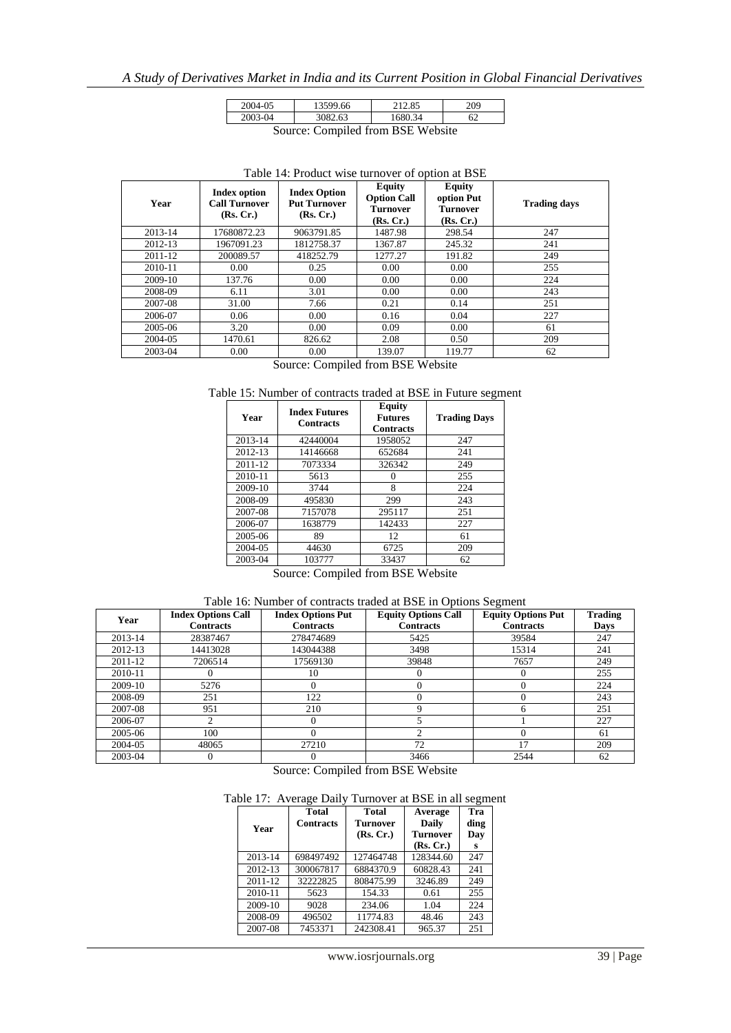| 2004-05                           | 13599.66 | 212.85  | 209 |  |  |
|-----------------------------------|----------|---------|-----|--|--|
| 2003-04                           | 3082.63  | 1680.34 |     |  |  |
| Source: Compiled from RSE Website |          |         |     |  |  |

Source: Compiled from BSE Website

| Year    | Index option<br><b>Call Turnover</b><br>(Rs, Cr.) | <b>Index Option</b><br><b>Put Turnover</b><br>(Rs, Cr.) | Equity<br><b>Option Call</b><br>Turnover<br>(Rs, Cr.) | <b>Equity</b><br>option Put<br><b>Turnover</b><br>(Rs, Cr.) | <b>Trading days</b> |
|---------|---------------------------------------------------|---------------------------------------------------------|-------------------------------------------------------|-------------------------------------------------------------|---------------------|
| 2013-14 | 17680872.23                                       | 9063791.85                                              | 1487.98                                               | 298.54                                                      | 247                 |
| 2012-13 | 1967091.23                                        | 1812758.37                                              | 1367.87                                               | 245.32                                                      | 241                 |
| 2011-12 | 200089.57                                         | 418252.79                                               | 1277.27                                               | 191.82                                                      | 249                 |
| 2010-11 | 0.00                                              | 0.25                                                    | 0.00                                                  | 0.00                                                        | 255                 |
| 2009-10 | 137.76                                            | 0.00                                                    | 0.00                                                  | 0.00                                                        | 224                 |
| 2008-09 | 6.11                                              | 3.01                                                    | 0.00                                                  | 0.00                                                        | 243                 |
| 2007-08 | 31.00                                             | 7.66                                                    | 0.21                                                  | 0.14                                                        | 251                 |
| 2006-07 | 0.06                                              | 0.00                                                    | 0.16                                                  | 0.04                                                        | 227                 |
| 2005-06 | 3.20                                              | 0.00                                                    | 0.09                                                  | 0.00                                                        | 61                  |
| 2004-05 | 1470.61                                           | 826.62                                                  | 2.08                                                  | 0.50                                                        | 209                 |
| 2003-04 | 0.00                                              | 0.00                                                    | 139.07                                                | 119.77                                                      | 62                  |

#### Table 14: Product wise turnover of option at BSE

Source: Compiled from BSE Website

#### Table 15: Number of contracts traded at BSE in Future segment

| Year    | <b>Index Futures</b><br><b>Contracts</b> | Equity<br><b>Futures</b><br><b>Contracts</b> | <b>Trading Days</b> |
|---------|------------------------------------------|----------------------------------------------|---------------------|
| 2013-14 | 42440004                                 | 1958052                                      | 247                 |
| 2012-13 | 14146668                                 | 652684                                       | 241                 |
| 2011-12 | 7073334                                  | 326342                                       | 249                 |
| 2010-11 | 5613                                     | 0                                            | 255                 |
| 2009-10 | 3744                                     | 8                                            | 224                 |
| 2008-09 | 495830                                   | 299                                          | 243                 |
| 2007-08 | 7157078                                  | 295117                                       | 251                 |
| 2006-07 | 1638779                                  | 142433                                       | 227                 |
| 2005-06 | 89                                       | 12                                           | 61                  |
| 2004-05 | 44630                                    | 6725                                         | 209                 |
| 2003-04 | 103777                                   | 33437                                        | 62                  |

Source: Compiled from BSE Website

# Table 16: Number of contracts traded at BSE in Options Segment

| Year    | <b>Index Options Call</b> | <b>Index Options Put</b> | <b>Equity Options Call</b> | <b>Equity Options Put</b> | <b>Trading</b> |
|---------|---------------------------|--------------------------|----------------------------|---------------------------|----------------|
|         | <b>Contracts</b>          | <b>Contracts</b>         | <b>Contracts</b>           | <b>Contracts</b>          | Days           |
| 2013-14 | 28387467                  | 278474689                | 5425                       | 39584                     | 247            |
| 2012-13 | 14413028                  | 143044388                | 3498                       | 15314                     | 241            |
| 2011-12 | 7206514                   | 17569130                 | 39848                      | 7657                      | 249            |
| 2010-11 |                           | 10                       |                            |                           | 255            |
| 2009-10 | 5276                      | 0                        |                            |                           | 224            |
| 2008-09 | 251                       | 122                      |                            |                           | 243            |
| 2007-08 | 951                       | 210                      |                            |                           | 251            |
| 2006-07 |                           | $\Omega$                 |                            |                           | 227            |
| 2005-06 | 100                       |                          |                            |                           | 61             |
| 2004-05 | 48065                     | 27210                    | 72                         | 17                        | 209            |
| 2003-04 |                           |                          | 3466                       | 2544                      | 62             |

Source: Compiled from BSE Website

#### Table 17: Average Daily Turnover at BSE in all segment

| Year    | <b>Total</b><br><b>Contracts</b> | <b>Total</b><br><b>Turnover</b><br>(Rs, Cr.) | Average<br>Daily<br><b>Turnover</b><br>(Rs, Cr.) | Tra<br>ding<br>Day<br>s |  |
|---------|----------------------------------|----------------------------------------------|--------------------------------------------------|-------------------------|--|
| 2013-14 | 698497492                        | 127464748                                    | 128344.60                                        | 247                     |  |
| 2012-13 | 300067817                        | 6884370.9                                    | 60828.43                                         | 241                     |  |
| 2011-12 | 32222825                         | 808475.99                                    | 3246.89                                          | 249                     |  |
| 2010-11 | 5623                             | 154.33                                       | 0.61                                             | 255                     |  |
| 2009-10 | 9028                             | 234.06                                       | 1.04                                             | 224                     |  |
| 2008-09 | 496502                           | 11774.83                                     | 48.46                                            | 243                     |  |
| 2007-08 | 7453371                          | 242308.41                                    | 965.37                                           | 251                     |  |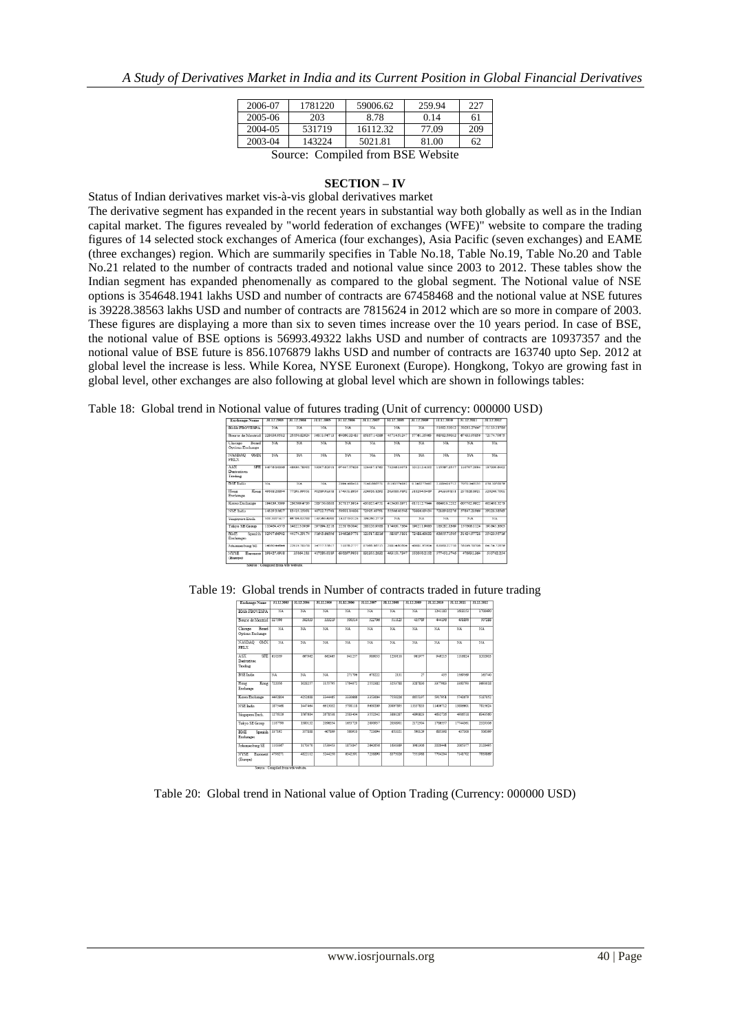| 2006-07                                 | 1781220 | 59006.62 | 259.94 | 227 |  |  |  |  |  |
|-----------------------------------------|---------|----------|--------|-----|--|--|--|--|--|
| 2005-06                                 | 203     | 8.78     | 0.14   | 61  |  |  |  |  |  |
| 2004-05                                 | 531719  | 16112.32 | 77.09  | 209 |  |  |  |  |  |
| 2003-04                                 | 143224  | 5021.81  | 81.00  | 62  |  |  |  |  |  |
| $\cdots$ 1.1 $\cdots$ DCF W.1. $\cdots$ |         |          |        |     |  |  |  |  |  |

Source: Compiled from BSE Website

#### **SECTION – IV**

Status of Indian derivatives market vis-à-vis global derivatives market The derivative segment has expanded in the recent years in substantial way both globally as well as in the Indian capital market. The figures revealed by "world federation of exchanges (WFE)" website to compare the trading figures of 14 selected stock exchanges of America (four exchanges), Asia Pacific (seven exchanges) and EAME (three exchanges) region. Which are summarily specifies in Table No.18, Table No.19, Table No.20 and Table No.21 related to the number of contracts traded and notional value since 2003 to 2012. These tables show the Indian segment has expanded phenomenally as compared to the global segment. The Notional value of NSE options is 354648.1941 lakhs USD and number of contracts are 67458468 and the notional value at NSE futures is 39228.38563 lakhs USD and number of contracts are 7815624 in 2012 which are so more in compare of 2003. These figures are displaying a more than six to seven times increase over the 10 years period. In case of BSE, the notional value of BSE options is 56993.49322 lakhs USD and number of contracts are 10937357 and the notional value of BSE future is 856.1076879 lakhs USD and number of contracts are 163740 upto Sep. 2012 at global level the increase is less. While Korea, NYSE Euronext (Europe). Hongkong, Tokyo are growing fast in global level, other exchanges are also following at global level which are shown in followings tables:

Table 18: Global trend in Notional value of futures trading (Unit of currency: 000000 USD)

| Exchange Name                                             | 31.12.2003                         | 31.12.2004  | 31.12.2005               | 31.12.2006               | 31.12.2007    | 31 12 2005         | 31.12.2009             | 31.12.2010             | 31.12.2011             | 31.12.2012               |
|-----------------------------------------------------------|------------------------------------|-------------|--------------------------|--------------------------|---------------|--------------------|------------------------|------------------------|------------------------|--------------------------|
| <b>BMA FBOVESPA</b>                                       | NA                                 | SA          | NA                       | NA.                      | <b>NA</b>     | NA                 | NA                     | 51682 53012            | 50231.27647            | 51110.21786              |
| Bourse de Montrial                                        | 220360582                          | 3446333634  | 16111-06711              | 6406032483               | 85857.14286   | 45724.51247        | 57761.14061            | 68087-90032            | 6741104246             | 72174.70674              |
| Checago<br>Reservit<br>Outloss Exchange                   | NA                                 | $3$         | $\overline{\mathrm{NA}}$ | $\overline{\mathrm{NA}}$ | $1 1 1$       | NA                 | $\overline{\text{NA}}$ | $\overline{\text{NA}}$ | $\overline{\text{NA}}$ | NA                       |
| <b>NASDAO</b><br>OMCX<br>PHLX                             | 32A                                | $8$         | $NA$                     | $\overline{\mathrm{NA}}$ | $1$           | $\times$ a         | $3$                    | $3$                    | $\overline{\text{NA}}$ | $\overline{\mathrm{NA}}$ |
| ASX <sup>-</sup><br><b>SFE</b><br>Decivatives:<br>Trading | 34076.10006                        | 48030.78002 | \$3007,62911             | 97447.57626              | 124437.1762   | 73206.13073        | 101212-4202            | 115567,8557            | 119797.2034            | 137009.6402              |
| <b>BSE</b> India                                          | $5$                                | $5$         | $5$                      | 2004-405415              | 5140,665751   | 8.190574192        | 0.140275492            | 2.009410712            | 2020 046115            | 8561076879               |
| Hone<br>Koug<br>Exchange                                  | 49033.28294                        | 77704 00051 | 00789 94458              | 174331.8959              | 324920.1292   | 2031319192         | <b>ELEVINE DANS</b>    | 343339.851             | 257028.0921            | 320249.7001              |
| Korea Exchange                                            | 194330.5000                        | 230599.4735 | 283750.0638              | 327117.3014              | 435325.4751   | 415430.8971        | 615112.7044            | 684010.2282            | 607762 9922            | 602458.5273              |
| NSE India                                                 | 14130.16637                        | 13419.15091 | 40722.75761              | 50001 1400E              | 72005.40701   | <b>CCC66-42548</b> | 7080600434             | 72180-03276            | 57847.21966            | 39228.38563              |
| Singapore Exch.                                           | 508 1007417                        | 66796.81288 | 149360.69th              | 141270-0124              | 1942/02/27/28 | NA                 | NA                     | NA                     | NA                     | NA                       |
| Tokyo SE Group                                            | 110454-4576                        | 148225.0930 | 207094-0218              | 225176.0042              | 200124-0508   | 174631.7364        | 100211-0484            | 183282 8360            | 157606 1124            | 101645.3605              |
| BME.<br>Snanish<br>Exchanges                              | 32907.66902                        | 44174.39174 | 51643.66506              | 104626.9778              | 121917.8216   | 58307.5101         | 72488.60832            | 63655.71505            | 31424.97728            | 35420.95716              |
| Johannesburg SE                                           | 1405044544                         | 22019 58158 | 34757.55817              | 51858.2777               | 87066.66715   | 20014-02004        | 40081.95904            | 63868.22758            | <b>SA100 SEVIA</b>     | 64154.72659              |
| <b>NYSE</b><br>Europent<br>(Europe)                       | 208427.0038                        | 35864.211   | 417280.0189              | 630397,9958              | 832355.2632   | 403151.7347        | 552050.2152            | 377432.3746            | 476032.364             | 335762.254               |
|                                                           | Source : Congoled from wie webure. |             |                          |                          |               |                    |                        |                        |                        |                          |

| Exchange Name                        | 31.12.2003 | 31.12.2004 | 31 12 2005             | 31 12 2006             | 31.12.2007 | 31 12 2008 | 31 12 2009 | 31 12 2010 | 31 12 2011             | 31 12 2012     |
|--------------------------------------|------------|------------|------------------------|------------------------|------------|------------|------------|------------|------------------------|----------------|
| <b>BM&amp; FBOVESPA</b>              | NA         | NA         | NA                     | NA                     | NA         | NA         | NA         | 1241180    | 1618153                | 1703400        |
| Bourse de Montrial                   | 327596     | 302033     | 333219                 | 500314                 | 522706     | 511123     | 435789     | 444196     | 491890                 | 507288         |
| Chicago<br>Board<br>Options Exchange | NA.        | NA         | NA                     | NA                     | NA         | NA         | NA.        | NA         | NA.                    | NA <sup></sup> |
| <b>NASDAO</b><br>OMX<br>PHLX         | $NA$       | $NA$       | $\overline{\text{NA}}$ | $\overline{\text{NA}}$ | $1 1$      | NA         | $NA$       | NA         | $\overline{\text{NA}}$ | $NA$           |
| ASX<br>SFE<br>Derivatives<br>Trading | 610359     | 667962     | 662465                 | 941257                 | 986053     | 1239110    | 961977     | 949215     | 1116824                | 1202003        |
| <b>BSE</b> India                     | NA         | NA         | NA                     | 271796                 | 678222     | 2131       | 27         | 435        | 1560560                | 163740         |
| Hong<br>Kong<br>Exchange             | 722056     | 1028257    | 1155795                | 1764072                | 2552382    | 3253788    | 3287830    | 3377983    | 3360793                | 3693018        |
| Korea Exchange                       | 4492804    | 4252688    | 3344465                | 3330665                | 3353004    | 7550226    | 6655107    | 5017051    | 5740679                | 5187052        |
| NSE India                            | 1875468    | 1447454    | 6613032                | 5798118                | 9609209    | 20007805   | 13337833   | 11406712   | 13886601               | 7815624        |
| Singapore Exch.                      | 1276126    | 1567684    | 2678538                | 2583404                | 3552242    | 3801287    | 4890823    | 4632726    | 4906518                | 6343560        |
| Tokyo SE Group                       | 1187790    | 1380132    | 2196354                | 1653729                | 2090937    | 2038901    | 2172504    | 1786557    | 17744361               | 2329106        |
| <b>BME</b><br>Spanish<br>Exchanges   | 337102     | 357888     | 407899                 | 550010                 | 723094     | 653321     | 500120     | 685308     | 437300                 | 505100         |
| Johannesburg SE                      | 1103367    | 1170370    | 1530453                | 1873847                | 2642656    | 1630389    | 1961306    | 2020441    | 2085377                | 2128495        |
| NVSE Funnext<br>(Europe)             | 4708271    | 4822112    | 5244250                | 6342391                | 7238890    | 8375026    | 7551988    | 7704204    | 7141702                | 7939869        |

Table 19: Global trends in Number of contracts traded in future trading

Table 20: Global trend in National value of Option Trading (Currency: 000000 USD)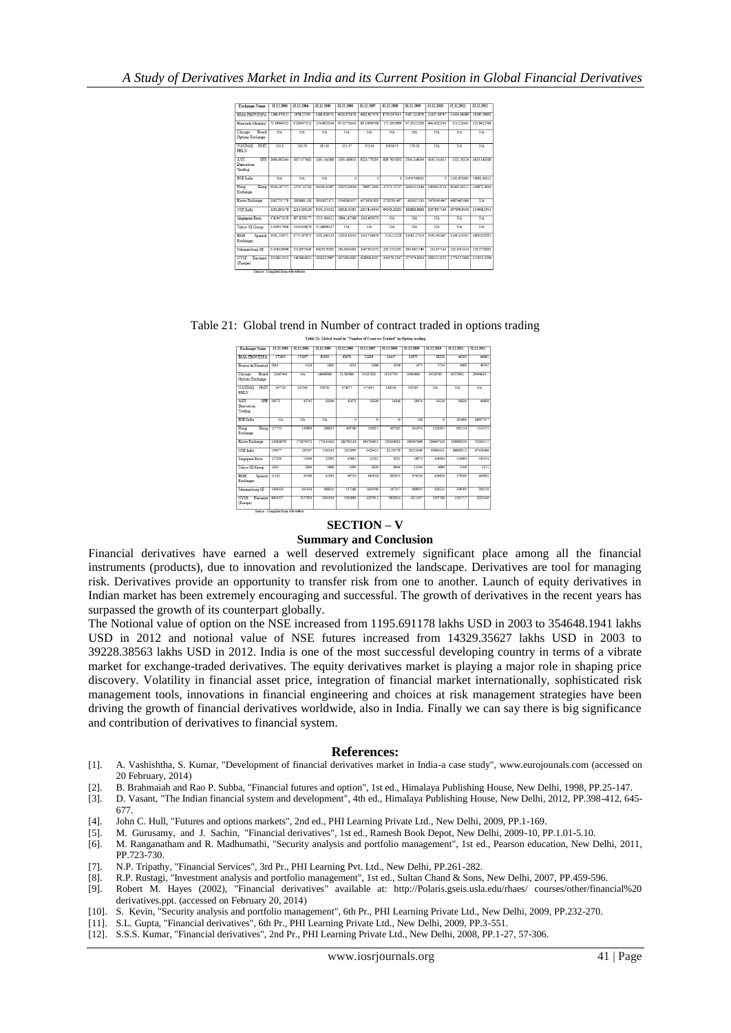| Exchange Name                               | 31.12.2003  | 31.12.2004  | 31.12.2005  | 31.12.2006  | 31.12.2007  | 31.12.2008  | 31.12.2009             | 31.12.2010     | 31.12.2011     | 31.12.2012  |
|---------------------------------------------|-------------|-------------|-------------|-------------|-------------|-------------|------------------------|----------------|----------------|-------------|
| <b>BMA FROVESPA</b>                         | 1266.970537 | 1676.27259  | 1160.920574 | 4018.875878 | 4882.617978 | 1755.047414 | 5367.232676            | 11807.86747    | 14304.06369    | 19165.56092 |
| <b>Boursede Montrial</b>                    | 7110640022  | 0180437323  | 154.0832049 | 67.02758443 | 8015005788  | 1752653666  | 07/20111026            | 444.8022545    | 321.123441     | 352.6422764 |
| Board<br>Chicago<br>Options Exchange        | NA          | NA          | NA          | NA          | NA          | NA          | NA                     | NA             | NA <sup></sup> | NA          |
| <b>NASDAO</b><br>OMX<br>PHLX                | 232.6       | 124.78      | 281.63      | 151.17      | 351.04      | 31026.73    | 279.28                 | NA             | NA             | NA          |
| ASX<br><b>SFE</b><br>Derivatives<br>Trading | 2606.002164 | 3037.077683 | 3265.544308 | 3505.400033 | 8224.778205 | 880.7035002 | 3104.146056            | 4161.541615    | 3323 30326     | 4610.540340 |
| <b>BSE</b> India                            | NA          | NA          | NA          | $\alpha$    | $\Omega$    | o           | 0.674760933            | $\overline{0}$ | 1302.672065    | 55003 40377 |
| Hong<br>Kong<br>Exchange                    | 0316167757  | 13747.21783 | 24228.41297 | 52870.01916 | 56007.2042  | 37272.72727 | 100410.2346            | 140463 8718    | 92439.93511    | 148671.4044 |
| Korea Exchange                              | 2002255.720 | 1888663 188 | 2032627.871 | 3548080.057 | 4273050.803 | 2758703 467 | 483307 533             | 5470040.647    | 4687462.066    | NA          |
| NSE India                                   | 1195.691178 | 2234.030136 | 0550 514552 | 18011.51491 | 26174.14944 | 64543.20231 | 162603.8638            | 339769.7149    | 307000.0048    | 354648 1041 |
| Singapore Exch.                             | 476 0475358 | 697.8559177 | 1515 004811 | 2994.147168 | 1433.650573 | $NA$        | $NA$                   | NA             | NA             | $NA$        |
| Tokyo SE Group                              | 3.429317906 | 14.41826876 | 55.36509337 | $NA$        | $NA$        | $NA$        | $\overline{\text{NA}}$ | $NA$           | $NA$           | NA          |
| <b>BMF</b><br>Spanish  <br>Exchanges        | 3038.218971 | 3775.587875 | 5202.642133 | 12818.43354 | 14317.04678 | 11313.2228  | 11483.27116            | 5563.442447    | 3105.114501    | 4898.829281 |
| Johannesburg SE                             | 0.458426966 | 519.8675849 | 648.9176192 | 204 6034403 | 1467.051972 | 293 5525261 | 380.4611749            | 334.357145     | 183.4011454    | 158,5720865 |
| <b>NYSE</b><br>Europest<br>(Europe)         | 121083-5015 | 148508-0031 | 183833-5007 | 307198-0485 | 428906.4327 | 344570.1547 | 277474.8034            | 2083123155     | 177455.5368    | 212011-3508 |
|                                             | $\sim$      | —           |             |             |             |             |                        |                |                |             |

#### Table 21: Global trend in Number of contract traded in options trading

|                                             |            |            | THREE TT: QUOINT ITERS IN A SHIRING, AT CARRIST TEMPLE IN CANDIN ITERRIT |                |                     |                |            |                |            |            |
|---------------------------------------------|------------|------------|--------------------------------------------------------------------------|----------------|---------------------|----------------|------------|----------------|------------|------------|
| Exchange Name                               | 31.12.2003 | 31.12.2004 | 31.12.2005                                                               | 31.12.2006     | 31.12.2007          | 31.12.2008     | 31.12.2009 | 31.12.2010     | 31.12.2011 | 31.12.2012 |
| <b>BMA FBOVESPA</b>                         | 172655     | 174397     | 81859                                                                    | 63070          | 13839               | 10447          | 13875      | 28320          | 46185      | 64961      |
| Bourse de Montrial                          | 2043       | 2238       | 2802                                                                     | 1053           | 1085                | 3916           | 1475       | 5734           | 4688       | 49542      |
| Chicago<br>Board<br>Options Exchange        | 10367410   | NA         | 16490006                                                                 | 21585986       | 15337828            | 16147785       | 10604060   | 19539761       | 20570001   | 26404033   |
| NASDAO<br>ON <sub>D</sub><br>PHLX           | 367729     | 347362     | 536781                                                                   | 374977         | 471615              | 188236         | 303185     | NA             | NA         | NA         |
| ASX<br>SFF<br><b>Derivatives</b><br>Trading | 50073      | 43745      | 43004                                                                    | 42478          | 58339               | 14148          | 29474      | 34256          | 30830      | 40680      |
| <b>BSE</b> India                            | NA         | $NA$       | NA                                                                       | $\overline{a}$ | $\overline{\Omega}$ | $\overline{a}$ | 120        | $\overline{a}$ | 281600     | 10937357   |
| Hong<br>Kong<br>Exchange                    | 117753     | 158696     | 268035                                                                   | 459780         | 350831              | 407265         | 841674     | 1120385        | 085154     | 1514755    |
| Korea Exchange                              | 230836702  | 173874552  | 173142430                                                                | 180790136      | 193784635           | 250304033      | 260407489  | 236467426      | 210608350  | 52003115   |
| <b>NSE</b> India                            | 156077     | 239207     | 1540181                                                                  | 2021005        | 3420425             | 21158770       | 20525040   | 50684431       | S6880013   | 67458468   |
| Singapore Exch.                             | 127330     | 13046      | 22092                                                                    | 45081          | 21182               | 8281           | 19875      | 136404         | 134094     | 545354     |
| Tokyo SE Group                              | 1030       | 2890       | 5600                                                                     | 4292           | 3820                | 6444           | 12544      | 4665           | 2106       | 1151       |
| <b>BME</b><br>Spanish<br><b>Exchanges</b>   | 31132      | 30480      | 41092                                                                    | 68720          | 645018              | 220055         | 670338     | 420626         | 279309     | 493982     |
| Johannesburg SE                             | 1088420    | 841018     | 968020                                                                   | 517168         | 1830540             | 267137         | 600005     | 308533         | 309590     | 200150     |
| <b>NYSE</b><br>Exponent<br>(Europe)         | 6454557    | 5127803    | 2841054                                                                  | 3584063        | 4207611             | 3803614        | 4211387    | 3187768        | 3181717    | 3032440    |
|                                             | ————————   |            |                                                                          |                |                     |                |            |                |            |            |

#### **SECTION – V**

#### **Summary and Conclusion**

Financial derivatives have earned a well deserved extremely significant place among all the financial instruments (products), due to innovation and revolutionized the landscape. Derivatives are tool for managing risk. Derivatives provide an opportunity to transfer risk from one to another. Launch of equity derivatives in Indian market has been extremely encouraging and successful. The growth of derivatives in the recent years has surpassed the growth of its counterpart globally.

The Notional value of option on the NSE increased from 1195.691178 lakhs USD in 2003 to 354648.1941 lakhs USD in 2012 and notional value of NSE futures increased from 14329.35627 lakhs USD in 2003 to 39228.38563 lakhs USD in 2012. India is one of the most successful developing country in terms of a vibrate market for exchange-traded derivatives. The equity derivatives market is playing a major role in shaping price discovery. Volatility in financial asset price, integration of financial market internationally, sophisticated risk management tools, innovations in financial engineering and choices at risk management strategies have been driving the growth of financial derivatives worldwide, also in India. Finally we can say there is big significance and contribution of derivatives to financial system.

#### **References:**

- [1]. A. Vashishtha, S. Kumar, "Development of financial derivatives market in India-a case study", www.eurojounals.com (accessed on 20 February, 2014)
- [2]. B. Brahmaiah and Rao P. Subba, "Financial futures and option", 1st ed., Himalaya Publishing House, New Delhi, 1998, PP.25-147.
- [3]. D. Vasant, "The Indian financial system and development", 4th ed., Himalaya Publishing House, New Delhi, 2012, PP.398-412, 645- 677.
- [4]. John C. Hull, "Futures and options markets", 2nd ed., PHI Learning Private Ltd., New Delhi, 2009, PP.1-169.
- 
- [5]. M. Gurusamy, and J. Sachin, "Financial derivatives", 1st ed., Ramesh Book Depot, New Delhi, 2009-10, PP.1.01-5.10. [6]. M. Ranganatham and R. Madhumathi, "Security analysis and portfolio management", 1st ed., Pearson education, New Delhi, 2011, PP.723-730.
- [7]. N.P. Tripathy, "Financial Services", 3rd Pr., PHI Learning Pvt. Ltd., New Delhi, PP.261-282.
- [8]. R.P. Rustagi, "Investment analysis and portfolio management", 1st ed., Sultan Chand & Sons, New Delhi, 2007, PP.459-596.<br>[9]. Robert M. Hayes (2002), "Financial derivatives" available at: http://Polaris.gseis.usla.edu
- Robert M. Hayes (2002), "Financial derivatives" available at: http://Polaris.gseis.usla.edu/rhaes/ courses/other/financial%20 derivatives.ppt. (accessed on February 20, 2014)
- [10]. S. Kevin, "Security analysis and portfolio management", 6th Pr., PHI Learning Private Ltd., New Delhi, 2009, PP.232-270.
- [11]. S.L. Gupta, "Financial derivatives", 6th Pr., PHI Learning Private Ltd., New Delhi, 2009, PP.3-551.
- [12]. S.S.S. Kumar, "Financial derivatives", 2nd Pr., PHI Learning Private Ltd., New Delhi, 2008, PP.1-27, 57-306.